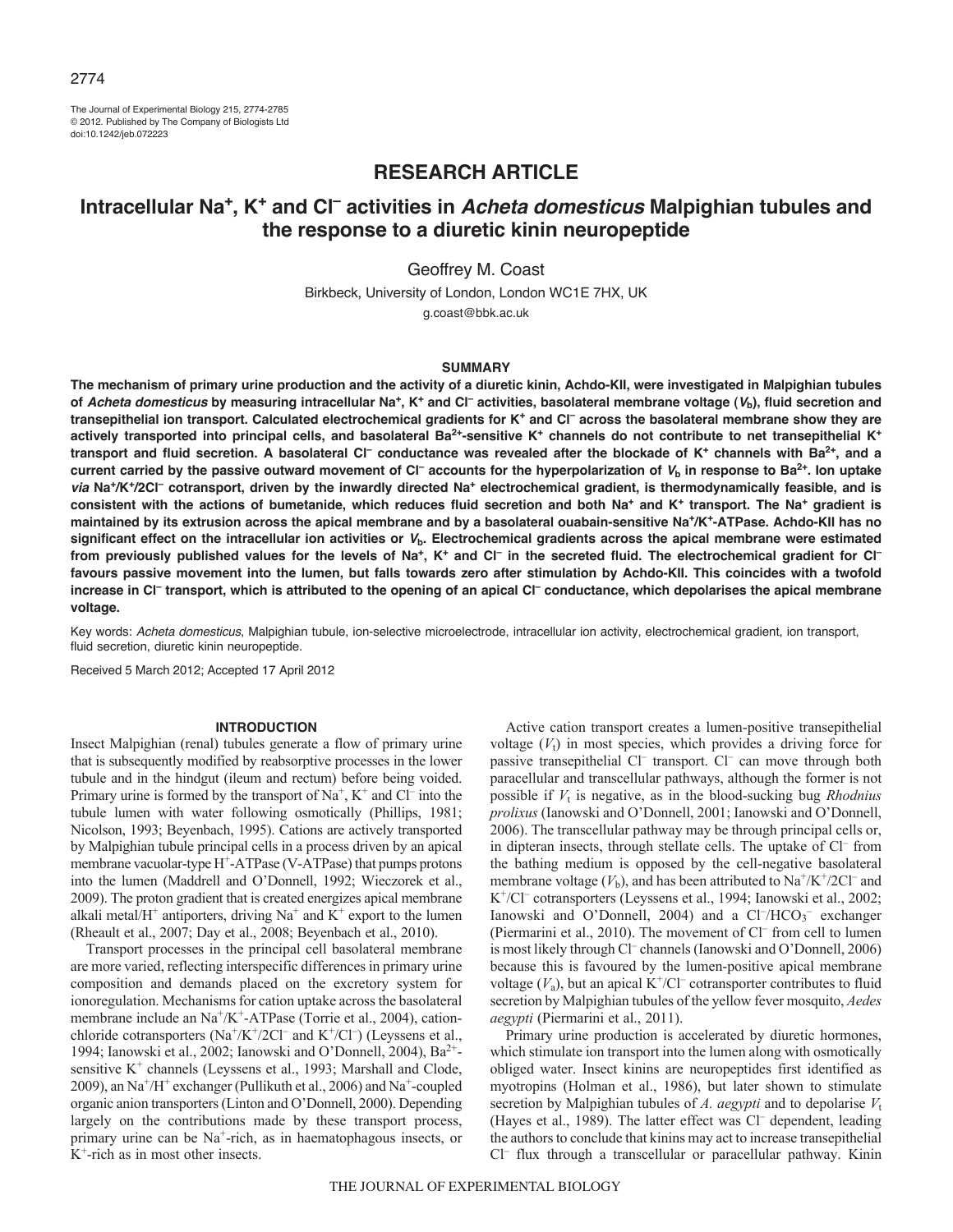The Journal of Experimental Biology 215, 2774-2785 © 2012. Published by The Company of Biologists Ltd doi:10.1242/jeb.072223

# **RESEARCH ARTICLE**

# **Intracellular Na+, K+ and Cl– activities in** *Acheta domesticus* **Malpighian tubules and the response to a diuretic kinin neuropeptide**

Geoffrey M. Coast

Birkbeck, University of London, London WC1E 7HX, UK g.coast@bbk.ac.uk

#### **SUMMARY**

**The mechanism of primary urine production and the activity of a diuretic kinin, Achdo-KII, were investigated in Malpighian tubules of** *Acheta domesticus* **by measuring intracellular Na+, K+ and Cl– activities, basolateral membrane voltage (***V***b), fluid secretion and transepithelial ion transport. Calculated electrochemical gradients for K+ and Cl– across the basolateral membrane show they are actively transported into principal cells, and basolateral Ba2+-sensitive K+ channels do not contribute to net transepithelial K+ transport and fluid secretion. A basolateral Cl– conductance was revealed after the blockade of K+ channels with Ba2+, and a current carried by the passive outward movement of Cl– accounts for the hyperpolarization of** *V***<sup>b</sup> in response to Ba2+. Ion uptake** *via* **Na+/K+/2Cl– cotransport, driven by the inwardly directed Na+ electrochemical gradient, is thermodynamically feasible, and is consistent with the actions of bumetanide, which reduces fluid secretion and both Na+ and K+ transport. The Na+ gradient is maintained by its extrusion across the apical membrane and by a basolateral ouabain-sensitive Na+/K+-ATPase. Achdo-KII has no significant effect on the intracellular ion activities or** *V***b. Electrochemical gradients across the apical membrane were estimated** from previously published values for the levels of Na<sup>+</sup>, K<sup>+</sup> and Cl<sup>-</sup> in the secreted fluid. The electrochemical gradient for Cl<sup>-</sup> **favours passive movement into the lumen, but falls towards zero after stimulation by Achdo-KII. This coincides with a twofold increase in Cl– transport, which is attributed to the opening of an apical Cl– conductance, which depolarises the apical membrane voltage.**

Key words: *Acheta domesticus*, Malpighian tubule, ion-selective microelectrode, intracellular ion activity, electrochemical gradient, ion transport, fluid secretion, diuretic kinin neuropeptide.

Received 5 March 2012; Accepted 17 April 2012

#### **INTRODUCTION**

Insect Malpighian (renal) tubules generate a flow of primary urine that is subsequently modified by reabsorptive processes in the lower tubule and in the hindgut (ileum and rectum) before being voided. Primary urine is formed by the transport of  $Na^+$ ,  $K^+$  and  $Cl^-$  into the tubule lumen with water following osmotically (Phillips, 1981; Nicolson, 1993; Beyenbach, 1995). Cations are actively transported by Malpighian tubule principal cells in a process driven by an apical membrane vacuolar-type H<sup>+</sup>-ATPase (V-ATPase) that pumps protons into the lumen (Maddrell and O'Donnell, 1992; Wieczorek et al., 2009). The proton gradient that is created energizes apical membrane alkali metal/ $H^+$  antiporters, driving Na<sup>+</sup> and K<sup>+</sup> export to the lumen (Rheault et al., 2007; Day et al., 2008; Beyenbach et al., 2010).

Transport processes in the principal cell basolateral membrane are more varied, reflecting interspecific differences in primary urine composition and demands placed on the excretory system for ionoregulation. Mechanisms for cation uptake across the basolateral membrane include an Na<sup>+</sup>/K<sup>+</sup>-ATPase (Torrie et al., 2004), cationchloride cotransporters  $(Na^+/K^+/2Cl^-$  and  $K^+/Cl^-)$  (Leyssens et al., 1994; Ianowski et al., 2002; Ianowski and O'Donnell, 2004), Ba<sup>2+</sup>sensitive K<sup>+</sup> channels (Leyssens et al., 1993; Marshall and Clode, 2009), an  $Na^+/H^+$  exchanger (Pullikuth et al., 2006) and  $Na^+$ -coupled organic anion transporters (Linton and O'Donnell, 2000). Depending largely on the contributions made by these transport process, primary urine can be Na<sup>+</sup>-rich, as in haematophagous insects, or K+-rich as in most other insects.

Active cation transport creates a lumen-positive transepithelial voltage  $(V_t)$  in most species, which provides a driving force for passive transepithelial Cl<sup>-</sup> transport. Cl<sup>-</sup> can move through both paracellular and transcellular pathways, although the former is not possible if *V*<sup>t</sup> is negative, as in the blood-sucking bug *Rhodnius prolixus* (Ianowski and O'Donnell, 2001; Ianowski and O'Donnell, 2006). The transcellular pathway may be through principal cells or, in dipteran insects, through stellate cells. The uptake of Cl<sup>-</sup> from the bathing medium is opposed by the cell-negative basolateral membrane voltage  $(V_b)$ , and has been attributed to Na<sup>+</sup>/K<sup>+</sup>/2Cl<sup>-</sup> and K<sup>+</sup>/Cl<sup>–</sup> cotransporters (Leyssens et al., 1994; Ianowski et al., 2002; Ianowski and O'Donnell, 2004) and a Cl<sup>-</sup>/HCO<sub>3</sub><sup>-</sup> exchanger (Piermarini et al., 2010). The movement of Cl– from cell to lumen is most likely through Cl<sup>-</sup> channels (Ianowski and O'Donnell, 2006) because this is favoured by the lumen-positive apical membrane voltage  $(V_a)$ , but an apical K<sup>+</sup>/Cl<sup>–</sup> cotransporter contributes to fluid secretion by Malpighian tubules of the yellow fever mosquito, *Aedes aegypti* (Piermarini et al., 2011).

Primary urine production is accelerated by diuretic hormones, which stimulate ion transport into the lumen along with osmotically obliged water. Insect kinins are neuropeptides first identified as myotropins (Holman et al., 1986), but later shown to stimulate secretion by Malpighian tubules of  $A$ . aegypti and to depolarise  $V_t$ (Hayes et al., 1989). The latter effect was Cl– dependent, leading the authors to conclude that kinins may act to increase transepithelial Cl– flux through a transcellular or paracellular pathway. Kinin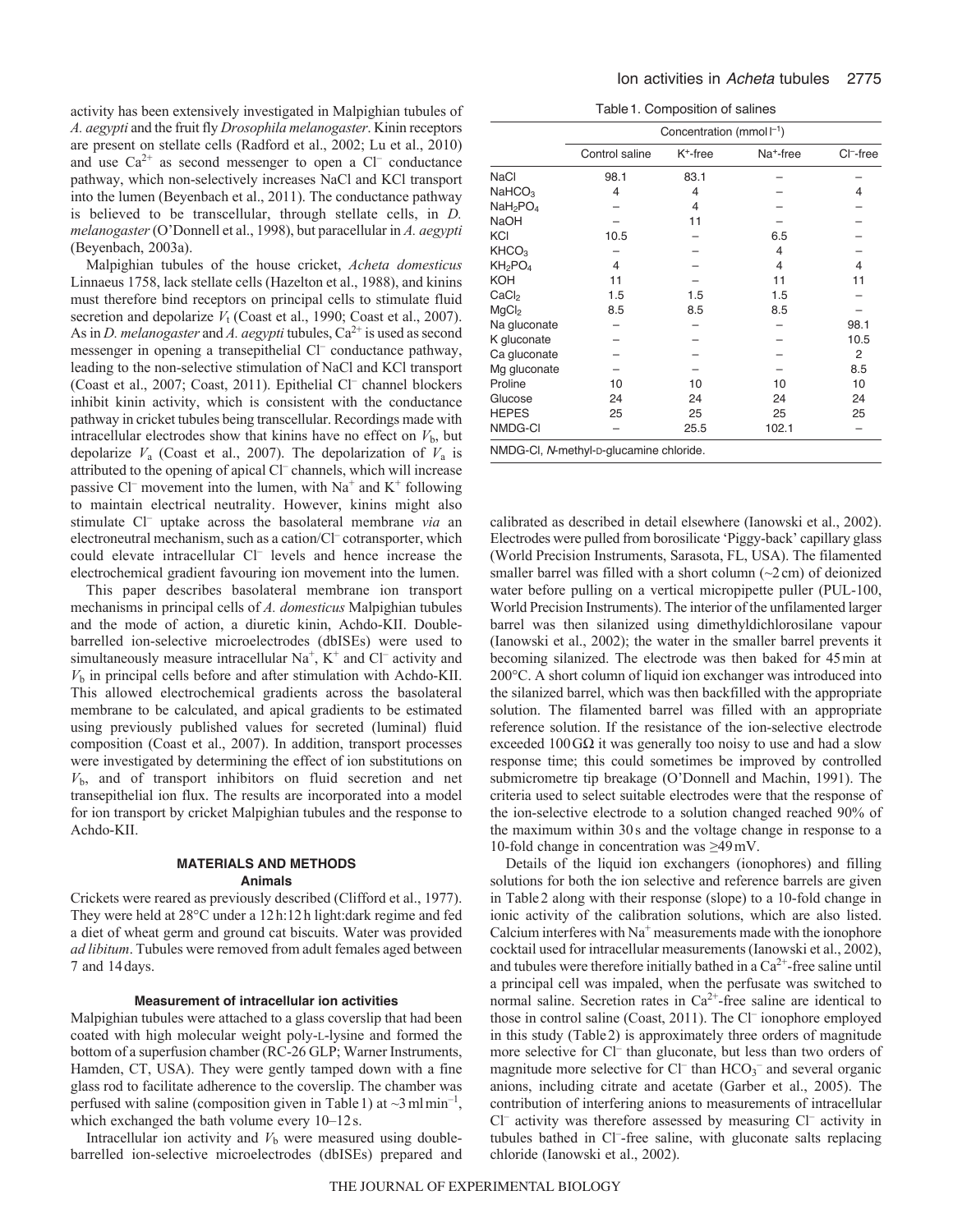activity has been extensively investigated in Malpighian tubules of *A. aegypti* and the fruit fly *Drosophila melanogaster*. Kinin receptors are present on stellate cells (Radford et al., 2002; Lu et al., 2010) and use  $Ca^{2+}$  as second messenger to open a Cl<sup>–</sup> conductance pathway, which non-selectively increases NaCl and KCl transport into the lumen (Beyenbach et al., 2011). The conductance pathway is believed to be transcellular, through stellate cells, in *D. melanogaster*(O'Donnell et al., 1998), but paracellular in *A. aegypti* (Beyenbach, 2003a).

Malpighian tubules of the house cricket, *Acheta domesticus* Linnaeus 1758, lack stellate cells (Hazelton et al., 1988), and kinins must therefore bind receptors on principal cells to stimulate fluid secretion and depolarize  $V_t$  (Coast et al., 1990; Coast et al., 2007). As in *D. melanogaster* and *A. aegypti* tubules,  $Ca^{2+}$  is used as second messenger in opening a transepithelial Cl– conductance pathway, leading to the non-selective stimulation of NaCl and KCl transport (Coast et al., 2007; Coast, 2011). Epithelial Cl– channel blockers inhibit kinin activity, which is consistent with the conductance pathway in cricket tubules being transcellular. Recordings made with intracellular electrodes show that kinins have no effect on  $V<sub>b</sub>$ , but depolarize  $V_a$  (Coast et al., 2007). The depolarization of  $V_a$  is attributed to the opening of apical Cl<sup>-</sup> channels, which will increase passive Cl<sup>–</sup> movement into the lumen, with  $Na^+$  and  $K^+$  following to maintain electrical neutrality. However, kinins might also stimulate Cl– uptake across the basolateral membrane *via* an electroneutral mechanism, such as a cation/Cl– cotransporter, which could elevate intracellular Cl<sup>-</sup> levels and hence increase the electrochemical gradient favouring ion movement into the lumen.

This paper describes basolateral membrane ion transport mechanisms in principal cells of *A. domesticus* Malpighian tubules and the mode of action, a diuretic kinin, Achdo-KII. Doublebarrelled ion-selective microelectrodes (dbISEs) were used to simultaneously measure intracellular  $Na^+$ ,  $K^+$  and Cl<sup>–</sup> activity and *V*<sup>b</sup> in principal cells before and after stimulation with Achdo-KII. This allowed electrochemical gradients across the basolateral membrane to be calculated, and apical gradients to be estimated using previously published values for secreted (luminal) fluid composition (Coast et al., 2007). In addition, transport processes were investigated by determining the effect of ion substitutions on *V*b, and of transport inhibitors on fluid secretion and net transepithelial ion flux. The results are incorporated into a model for ion transport by cricket Malpighian tubules and the response to Achdo-KII.

## **MATERIALS AND METHODS Animals**

Crickets were reared as previously described (Clifford et al., 1977). They were held at 28°C under a 12h:12h light:dark regime and fed a diet of wheat germ and ground cat biscuits. Water was provided *ad libitum*. Tubules were removed from adult females aged between 7 and 14days.

#### **Measurement of intracellular ion activities**

Malpighian tubules were attached to a glass coverslip that had been coated with high molecular weight poly-L-lysine and formed the bottom of a superfusion chamber (RC-26 GLP; Warner Instruments, Hamden, CT, USA). They were gently tamped down with a fine glass rod to facilitate adherence to the coverslip. The chamber was perfused with saline (composition given in Table 1) at  $\sim$ 3 ml min<sup>-1</sup>, which exchanged the bath volume every 10–12s.

Intracellular ion activity and  $V<sub>b</sub>$  were measured using doublebarrelled ion-selective microelectrodes (dbISEs) prepared and

Table1. Composition of salines

|                                  | Concentration (mmol $l^{-1}$ )          |             |                       |              |  |  |
|----------------------------------|-----------------------------------------|-------------|-----------------------|--------------|--|--|
|                                  | Control saline                          | $K^+$ -free | Na <sup>+</sup> -free | $Cl^-$ -free |  |  |
| <b>NaCl</b>                      | 98.1                                    | 83.1        |                       |              |  |  |
| NAHCO <sub>3</sub>               | 4                                       | 4           |                       | 4            |  |  |
| NaH <sub>2</sub> PO <sub>4</sub> |                                         | 4           |                       |              |  |  |
| <b>NaOH</b>                      |                                         | 11          |                       |              |  |  |
| KCI                              | 10.5                                    |             | 6.5                   |              |  |  |
| KHCO <sub>3</sub>                |                                         |             | 4                     |              |  |  |
| KH <sub>2</sub> PO <sub>4</sub>  | 4                                       |             | 4                     | 4            |  |  |
| <b>KOH</b>                       | 11                                      |             | 11                    | 11           |  |  |
| CaCl <sub>2</sub>                | 1.5                                     | 1.5         | 1.5                   |              |  |  |
| MgCl <sub>2</sub>                | 8.5                                     | 8.5         | 8.5                   |              |  |  |
| Na gluconate                     |                                         |             |                       | 98.1         |  |  |
| K gluconate                      |                                         |             |                       | 10.5         |  |  |
| Ca gluconate                     |                                         |             |                       | 2            |  |  |
| Mg gluconate                     |                                         |             |                       | 8.5          |  |  |
| Proline                          | 10                                      | 10          | 10                    | 10           |  |  |
| Glucose                          | 24                                      | 24          | 24                    | 24           |  |  |
| <b>HEPES</b>                     | 25                                      | 25          | 25                    | 25           |  |  |
| NMDG-CI                          |                                         | 25.5        | 102.1                 |              |  |  |
|                                  | NMDG-CI, N-methyl-p-glucamine chloride. |             |                       |              |  |  |

calibrated as described in detail elsewhere (Ianowski et al., 2002). Electrodes were pulled from borosilicate 'Piggy-back' capillary glass (World Precision Instruments, Sarasota, FL, USA). The filamented smaller barrel was filled with a short column  $(\sim 2 \text{ cm})$  of deionized water before pulling on a vertical micropipette puller (PUL-100, World Precision Instruments). The interior of the unfilamented larger barrel was then silanized using dimethyldichlorosilane vapour (Ianowski et al., 2002); the water in the smaller barrel prevents it becoming silanized. The electrode was then baked for 45min at 200°C. A short column of liquid ion exchanger was introduced into the silanized barrel, which was then backfilled with the appropriate solution. The filamented barrel was filled with an appropriate reference solution. If the resistance of the ion-selective electrode exceeded  $100\,\text{G}\Omega$  it was generally too noisy to use and had a slow response time; this could sometimes be improved by controlled submicrometre tip breakage (O'Donnell and Machin, 1991). The criteria used to select suitable electrodes were that the response of the ion-selective electrode to a solution changed reached 90% of the maximum within 30s and the voltage change in response to a 10-fold change in concentration was ≥49mV.

Details of the liquid ion exchangers (ionophores) and filling solutions for both the ion selective and reference barrels are given in Table2 along with their response (slope) to a 10-fold change in ionic activity of the calibration solutions, which are also listed. Calcium interferes with  $Na<sup>+</sup>$  measurements made with the ionophore cocktail used for intracellular measurements (Ianowski et al., 2002), and tubules were therefore initially bathed in a  $Ca^{2+}$ -free saline until a principal cell was impaled, when the perfusate was switched to normal saline. Secretion rates in  $Ca^{2+}$ -free saline are identical to those in control saline (Coast, 2011). The Cl– ionophore employed in this study (Table2) is approximately three orders of magnitude more selective for Cl<sup>-</sup> than gluconate, but less than two orders of magnitude more selective for Cl<sup>-</sup> than  $HCO_3^-$  and several organic anions, including citrate and acetate (Garber et al., 2005). The contribution of interfering anions to measurements of intracellular Cl– activity was therefore assessed by measuring Cl– activity in tubules bathed in Cl<sup>-</sup>-free saline, with gluconate salts replacing chloride (Ianowski et al., 2002).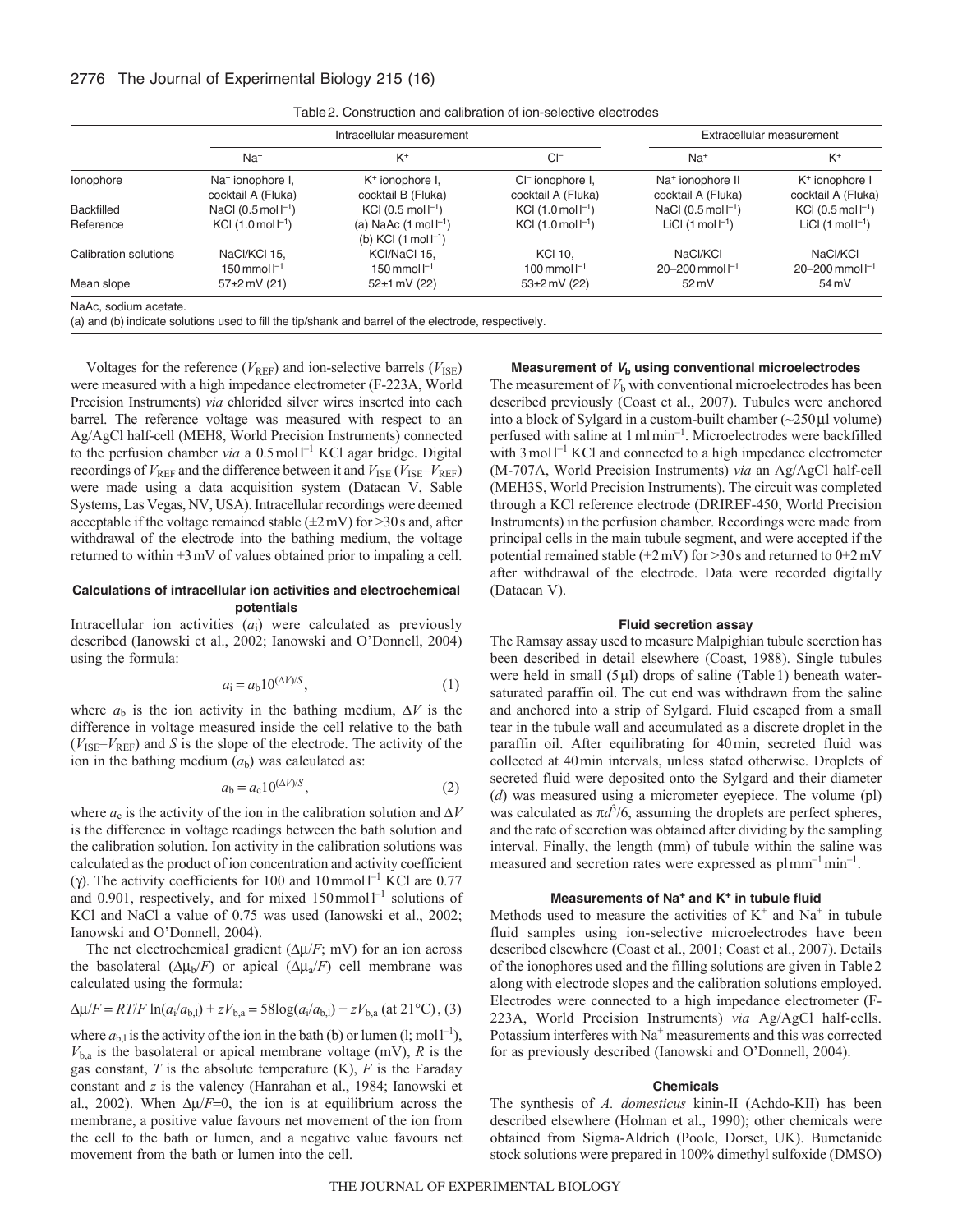|                       | Intracellular measurement                          |                                                                                                      |                                                    | Extracellular measurement                          |                                                  |
|-----------------------|----------------------------------------------------|------------------------------------------------------------------------------------------------------|----------------------------------------------------|----------------------------------------------------|--------------------------------------------------|
|                       | $Na+$                                              | $K^+$                                                                                                | $CI^-$                                             | $Na+$                                              | $K^+$                                            |
| lonophore             | Na <sup>+</sup> ionophore I,<br>cocktail A (Fluka) | K <sup>+</sup> ionophore I,<br>cocktail B (Fluka)                                                    | CI <sup>-</sup> ionophore I,<br>cocktail A (Fluka) | Na <sup>+</sup> ionophore II<br>cocktail A (Fluka) | K <sup>+</sup> ionophore I<br>cocktail A (Fluka) |
| <b>Backfilled</b>     | NaCl $(0.5 \text{ mol} \, \text{m}$ <sup>1</sup> ) | KCI (0.5 mol $\Gamma$ <sup>1</sup> )                                                                 | $KCl$ (1.0 mol $\Gamma$ <sup>1</sup> )             | NaCl $(0.5 \text{ mol} \, \text{m}$ <sup>1</sup> ) | KCI $(0.5 \text{ mol} \, \text{m}^{-1})$         |
| Reference             | KCI $(1.0 \text{ mol} \, \text{m}^{-1})$           | (a) NaAc $(1 \text{ mol } l^{-1})$<br>(b) KCI $(1 \text{ mol } \Gamma^1)$                            | KCI $(1.0 \text{ mol} \, \text{m}^{-1})$           | LiCI $(1 \text{ mol }  ^{-1})$                     | LiCI $(1 \text{ mol } l^{-1})$                   |
| Calibration solutions | NaCl/KCl 15.<br>150 mmol $1^{-1}$                  | KCI/NaCl 15.<br>150 mmol $1^{-1}$                                                                    | <b>KCI 10.</b><br>100 mmol $I^{-1}$                | NaCl/KCl<br>$20 - 200$ mmol $I^{-1}$               | NaCl/KCl<br>$20 - 200$ mmol $1^{-1}$             |
| Mean slope            | $57+2$ mV (21)                                     | $52 \pm 1$ mV (22)                                                                                   | $53 \pm 2$ mV (22)                                 | $52 \text{ mV}$                                    | 54 mV                                            |
| NaAc, sodium acetate. |                                                    | (a) and (b) indicate solutions used to fill the tip/shank and barrel of the electrode, respectively. |                                                    |                                                    |                                                  |

Table2. Construction and calibration of ion-selective electrodes

Voltages for the reference ( $V_{REF}$ ) and ion-selective barrels ( $V_{ISE}$ ) were measured with a high impedance electrometer (F-223A, World Precision Instruments) *via* chlorided silver wires inserted into each barrel. The reference voltage was measured with respect to an Ag/AgCl half-cell (MEH8, World Precision Instruments) connected to the perfusion chamber *via* a 0.5 mol<sup>1-1</sup> KCl agar bridge. Digital recordings of  $V_{REF}$  and the difference between it and  $V_{ISE}$  ( $V_{ISE}$ – $V_{REF}$ ) were made using a data acquisition system (Datacan V, Sable Systems, Las Vegas, NV, USA). Intracellular recordings were deemed acceptable if the voltage remained stable  $(\pm 2 \text{ mV})$  for  $>30 \text{ s}$  and, after withdrawal of the electrode into the bathing medium, the voltage returned to within  $\pm 3$  mV of values obtained prior to impaling a cell.

## **Calculations of intracellular ion activities and electrochemical potentials**

Intracellular ion activities  $(a_i)$  were calculated as previously described (Ianowski et al., 2002; Ianowski and O'Donnell, 2004) using the formula:

$$
a_{\mathbf{i}} = a_{\mathbf{b}} 10^{(\Delta V)/S},\tag{1}
$$

where  $a<sub>b</sub>$  is the ion activity in the bathing medium,  $\Delta V$  is the difference in voltage measured inside the cell relative to the bath  $(V_{\text{ISE}}-V_{\text{REF}})$  and *S* is the slope of the electrode. The activity of the ion in the bathing medium  $(a<sub>b</sub>)$  was calculated as:

$$
a_{\rm b} = a_{\rm c} 10^{(\Delta V)/S},\tag{2}
$$

where  $a_c$  is the activity of the ion in the calibration solution and  $\Delta V$ is the difference in voltage readings between the bath solution and the calibration solution. Ion activity in the calibration solutions was calculated as the product of ion concentration and activity coefficient ( $\gamma$ ). The activity coefficients for 100 and 10 mmol<sup>-1</sup> KCl are 0.77 and  $0.901$ , respectively, and for mixed  $150$  mmol<sup>1-1</sup> solutions of KCl and NaCl a value of 0.75 was used (Ianowski et al., 2002; Ianowski and O'Donnell, 2004).

The net electrochemical gradient  $(\Delta \mu / F; mV)$  for an ion across the basolateral  $(\Delta \mu_b/F)$  or apical  $(\Delta \mu_a/F)$  cell membrane was calculated using the formula:

$$
\Delta \mu / F = RT/F \ln(a_i/a_{b,l}) + zV_{b,a} = 58 \log(a_i/a_{b,l}) + zV_{b,a} \text{ (at 21°C), (3)}
$$

where  $a_{b,l}$  is the activity of the ion in the bath (b) or lumen (l; mol<sup> $-1$ </sup>),  $V_{b,a}$  is the basolateral or apical membrane voltage (mV), *R* is the gas constant, *T* is the absolute temperature (K), *F* is the Faraday constant and *z* is the valency (Hanrahan et al., 1984; Ianowski et al., 2002). When  $\Delta \mu / F = 0$ , the ion is at equilibrium across the membrane, a positive value favours net movement of the ion from the cell to the bath or lumen, and a negative value favours net movement from the bath or lumen into the cell.

## **Measurement of** *V***<sup>b</sup> using conventional microelectrodes**

The measurement of  $V<sub>b</sub>$  with conventional microelectrodes has been described previously (Coast et al., 2007). Tubules were anchored into a block of Sylgard in a custom-built chamber  $\left(\sim 250 \,\mu\right]$  volume) perfused with saline at 1mlmin–1. Microelectrodes were backfilled with  $3 \text{ mol} 1^{-1}$  KCl and connected to a high impedance electrometer (M-707A, World Precision Instruments) *via* an Ag/AgCl half-cell (MEH3S, World Precision Instruments). The circuit was completed through a KCl reference electrode (DRIREF-450, World Precision Instruments) in the perfusion chamber. Recordings were made from principal cells in the main tubule segment, and were accepted if the potential remained stable ( $\pm 2$  mV) for >30s and returned to 0 $\pm 2$  mV after withdrawal of the electrode. Data were recorded digitally (Datacan V).

## **Fluid secretion assay**

The Ramsay assay used to measure Malpighian tubule secretion has been described in detail elsewhere (Coast, 1988). Single tubules were held in small  $(5 \mu l)$  drops of saline (Table 1) beneath watersaturated paraffin oil. The cut end was withdrawn from the saline and anchored into a strip of Sylgard. Fluid escaped from a small tear in the tubule wall and accumulated as a discrete droplet in the paraffin oil. After equilibrating for 40min, secreted fluid was collected at 40min intervals, unless stated otherwise. Droplets of secreted fluid were deposited onto the Sylgard and their diameter (*d*) was measured using a micrometer eyepiece. The volume (pl) was calculated as  $\pi d^{3}/6$ , assuming the droplets are perfect spheres, and the rate of secretion was obtained after dividing by the sampling interval. Finally, the length (mm) of tubule within the saline was measured and secretion rates were expressed as  $plmm^{-1}min^{-1}$ .

#### **Measurements of Na<sup>+</sup> and K+ in tubule fluid**

Methods used to measure the activities of  $K^+$  and  $Na^+$  in tubule fluid samples using ion-selective microelectrodes have been described elsewhere (Coast et al., 2001; Coast et al., 2007). Details of the ionophores used and the filling solutions are given in Table2 along with electrode slopes and the calibration solutions employed. Electrodes were connected to a high impedance electrometer (F-223A, World Precision Instruments) *via* Ag/AgCl half-cells. Potassium interferes with Na<sup>+</sup> measurements and this was corrected for as previously described (Ianowski and O'Donnell, 2004).

#### **Chemicals**

The synthesis of *A. domesticus* kinin-II (Achdo-KII) has been described elsewhere (Holman et al., 1990); other chemicals were obtained from Sigma-Aldrich (Poole, Dorset, UK). Bumetanide stock solutions were prepared in 100% dimethyl sulfoxide (DMSO)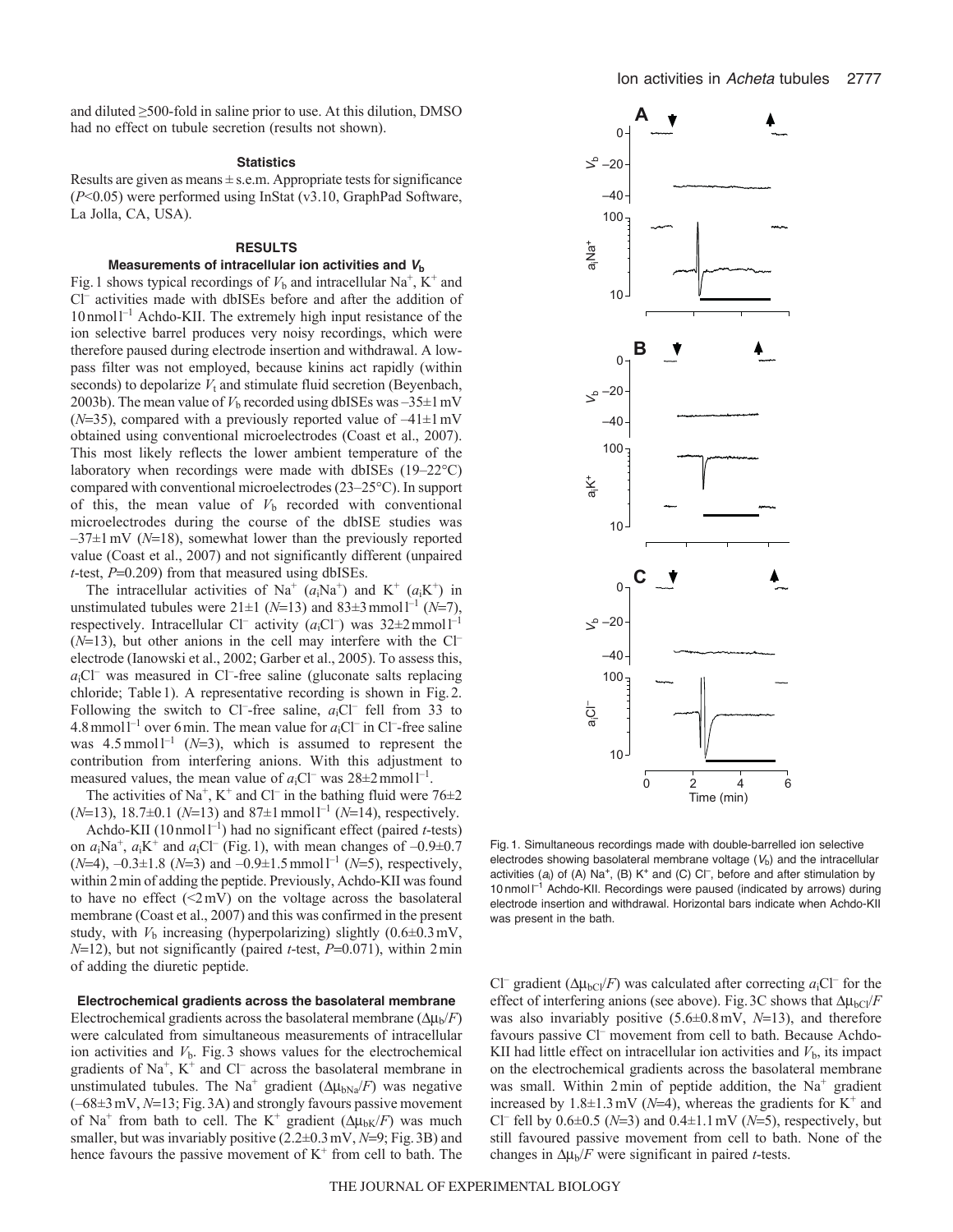and diluted ≥500-fold in saline prior to use. At this dilution, DMSO had no effect on tubule secretion (results not shown).

#### **Statistics**

Results are given as means  $\pm$  s.e.m. Appropriate tests for significance (*P*<0.05) were performed using InStat (v3.10, GraphPad Software, La Jolla, CA, USA).

### **RESULTS**

## **Measurements of intracellular ion activities and** *V***<sup>b</sup>**

Fig. 1 shows typical recordings of  $V<sub>b</sub>$  and intracellular Na<sup>+</sup>, K<sup>+</sup> and Cl– activities made with dbISEs before and after the addition of 10nmoll –1 Achdo-KII. The extremely high input resistance of the ion selective barrel produces very noisy recordings, which were therefore paused during electrode insertion and withdrawal. A lowpass filter was not employed, because kinins act rapidly (within seconds) to depolarize  $V_t$  and stimulate fluid secretion (Beyenbach, 2003b). The mean value of  $V<sub>b</sub>$  recorded using dbISEs was  $-35\pm1$  mV ( $N=35$ ), compared with a previously reported value of  $-41\pm1$  mV obtained using conventional microelectrodes (Coast et al., 2007). This most likely reflects the lower ambient temperature of the laboratory when recordings were made with dbISEs (19–22°C) compared with conventional microelectrodes (23–25°C). In support of this, the mean value of  $V<sub>b</sub>$  recorded with conventional microelectrodes during the course of the dbISE studies was  $-37\pm1$  mV ( $N=18$ ), somewhat lower than the previously reported value (Coast et al., 2007) and not significantly different (unpaired *t*-test,  $P=0.209$ ) from that measured using dbISEs.

The intracellular activities of Na<sup>+</sup>  $(a_i$ Na<sup>+</sup>) and K<sup>+</sup>  $(a_i$ K<sup>+</sup>) in unstimulated tubules were  $21 \pm 1$  ( $N=13$ ) and  $83 \pm 3$  mmol<sup>1-1</sup> ( $N=7$ ), respectively. Intracellular Cl<sup>-</sup> activity  $(a_iCl^-)$  was  $32\pm2$  mmoll<sup>-1</sup>  $(N=13)$ , but other anions in the cell may interfere with the Cl<sup>-</sup> electrode (Ianowski et al., 2002; Garber et al., 2005). To assess this,  $a<sub>i</sub>Cl<sup>-</sup>$  was measured in Cl<sup>-</sup>-free saline (gluconate salts replacing chloride; Table1). A representative recording is shown in Fig.2. Following the switch to Cl<sup>-</sup>-free saline,  $a_1C$ <sup>-</sup> fell from 33 to 4.8 mmol<sup> $1$ -1</sup> over 6 min. The mean value for  $a_1Cl^-$  in Cl<sup>-</sup>-free saline was  $4.5 \text{ mmol } l^{-1}$  ( $N=3$ ), which is assumed to represent the contribution from interfering anions. With this adjustment to measured values, the mean value of  $a_iCl^-$  was  $28\pm2$  mmol  $l^{-1}$ .

The activities of Na<sup>+</sup>, K<sup>+</sup> and Cl<sup>-</sup> in the bathing fluid were  $76\pm2$  $(N=13)$ , 18.7 $\pm$ 0.1 ( $N=13$ ) and 87 $\pm$ 1 mmol<sup>-1</sup> ( $N=14$ ), respectively.

Achdo-KII (10 nmol<sup>-1</sup>) had no significant effect (paired *t*-tests) on  $a_i$ Na<sup>+</sup>,  $a_i$ K<sup>+</sup> and  $a_i$ Cl<sup>-</sup> (Fig.1), with mean changes of  $-0.9\pm0.7$  $(N=4)$ ,  $-0.3\pm1.8$  ( $N=3$ ) and  $-0.9\pm1.5$  mmol<sup>-1</sup> ( $N=5$ ), respectively, within 2min of adding the peptide. Previously, Achdo-KII was found to have no effect  $(\leq 2mV)$  on the voltage across the basolateral membrane (Coast et al., 2007) and this was confirmed in the present study, with  $V<sub>b</sub>$  increasing (hyperpolarizing) slightly  $(0.6\pm0.3 \text{ mV})$ ,  $N=12$ ), but not significantly (paired *t*-test,  $P=0.071$ ), within 2 min of adding the diuretic peptide.

## **Electrochemical gradients across the basolateral membrane**

Electrochemical gradients across the basolateral membrane  $(\Delta \mu_b/F)$ were calculated from simultaneous measurements of intracellular ion activities and  $V<sub>b</sub>$ . Fig. 3 shows values for the electrochemical gradients of  $Na^+$ ,  $K^+$  and  $Cl^-$  across the basolateral membrane in unstimulated tubules. The Na<sup>+</sup> gradient  $(\Delta \mu_{bNa}/F)$  was negative  $(-68\pm3 \text{ mV}, N=13; Fig.3A)$  and strongly favours passive movement of Na<sup>+</sup> from bath to cell. The K<sup>+</sup> gradient  $(\Delta \mu_{bK}/F)$  was much smaller, but was invariably positive  $(2.2\pm0.3 \text{ mV}, N=9; Fig. 3B)$  and hence favours the passive movement of  $K^+$  from cell to bath. The



Fig. 1. Simultaneous recordings made with double-barrelled ion selective electrodes showing basolateral membrane voltage  $(V<sub>b</sub>)$  and the intracellular activities  $(a_i)$  of  $(A)$  Na<sup>+</sup>,  $(B)$  K<sup>+</sup> and  $(C)$  Cl<sup>-</sup>, before and after stimulation by 10 nmol  $I^{-1}$  Achdo-KII. Recordings were paused (indicated by arrows) during electrode insertion and withdrawal. Horizontal bars indicate when Achdo-KII was present in the bath.

Cl<sup>–</sup> gradient ( $\Delta \mu_{bCl}/F$ ) was calculated after correcting *a*<sub>i</sub>Cl<sup>–</sup> for the effect of interfering anions (see above). Fig. 3C shows that  $\Delta \mu_{\text{bCl}}/F$ was also invariably positive  $(5.6\pm0.8 \text{ mV}, N=13)$ , and therefore favours passive Cl<sup>-</sup> movement from cell to bath. Because Achdo-KII had little effect on intracellular ion activities and  $V<sub>b</sub>$ , its impact on the electrochemical gradients across the basolateral membrane was small. Within  $2 \text{min}$  of peptide addition, the Na<sup>+</sup> gradient increased by  $1.8\pm1.3$  mV ( $N=4$ ), whereas the gradients for K<sup>+</sup> and Cl<sup>–</sup> fell by  $0.6 \pm 0.5$  (*N*=3) and  $0.4 \pm 1.1$  mV (*N*=5), respectively, but still favoured passive movement from cell to bath. None of the changes in  $\Delta \mu_b/F$  were significant in paired *t*-tests.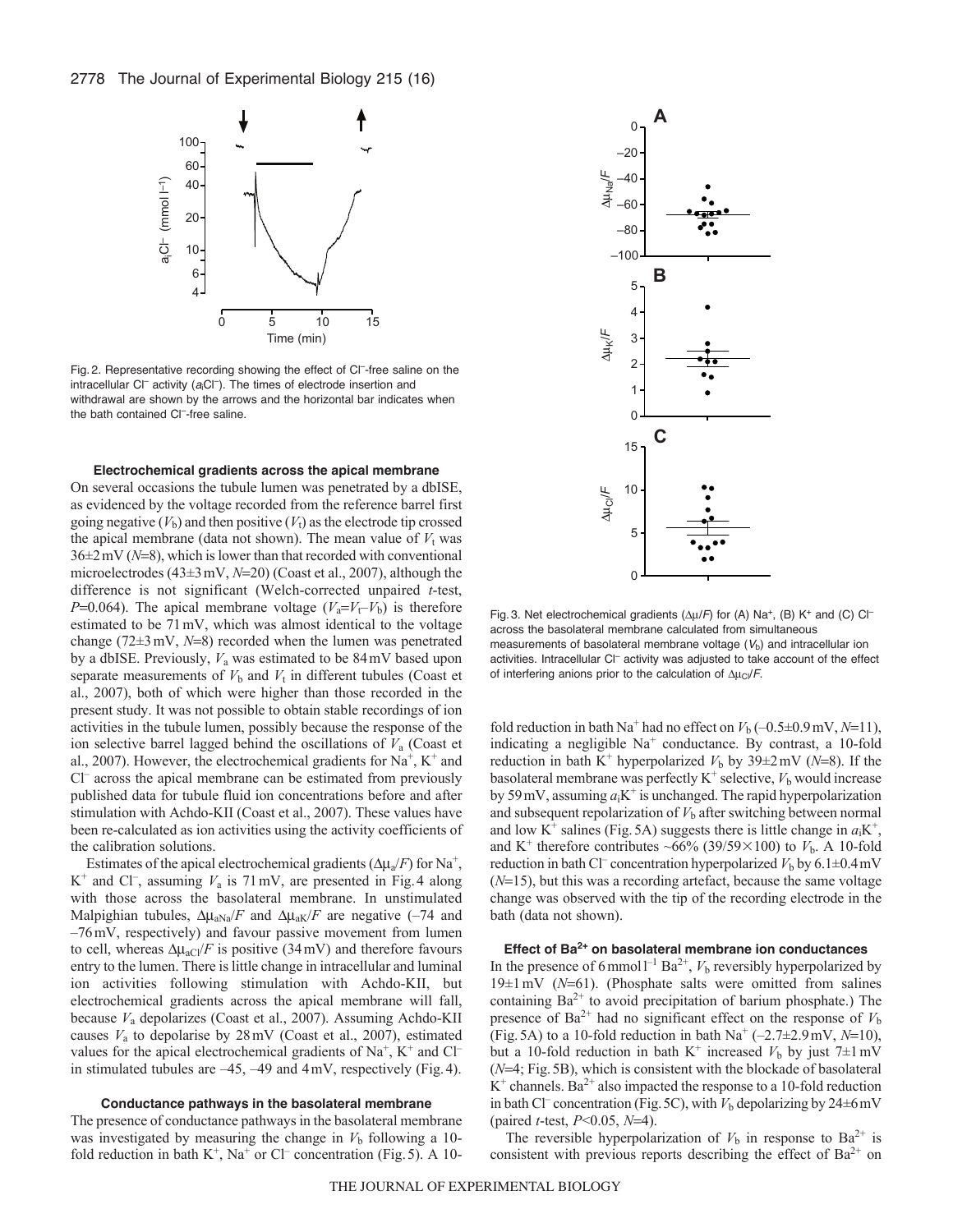

Fig. 2. Representative recording showing the effect of Cl<sup>-</sup>-free saline on the intracellular Cl<sup>-</sup> activity (a<sub>i</sub>Cl<sup>-</sup>). The times of electrode insertion and withdrawal are shown by the arrows and the horizontal bar indicates when the bath contained Cl<sup>--</sup>free saline.

#### **Electrochemical gradients across the apical membrane**

On several occasions the tubule lumen was penetrated by a dbISE, as evidenced by the voltage recorded from the reference barrel first going negative  $(V<sub>b</sub>)$  and then positive  $(V<sub>t</sub>)$  as the electrode tip crossed the apical membrane (data not shown). The mean value of  $V_t$  was  $36\pm2$  mV ( $N=8$ ), which is lower than that recorded with conventional microelectrodes (43±3 mV, N=20) (Coast et al., 2007), although the difference is not significant (Welch-corrected unpaired *t*-test, *P*=0.064). The apical membrane voltage ( $V_a = V_f - V_b$ ) is therefore estimated to be 71mV, which was almost identical to the voltage change ( $72\pm3$  mV,  $N=8$ ) recorded when the lumen was penetrated by a dbISE. Previously, *V*<sup>a</sup> was estimated to be 84mV based upon separate measurements of  $V<sub>b</sub>$  and  $V<sub>t</sub>$  in different tubules (Coast et al., 2007), both of which were higher than those recorded in the present study. It was not possible to obtain stable recordings of ion activities in the tubule lumen, possibly because the response of the ion selective barrel lagged behind the oscillations of *V*<sup>a</sup> (Coast et al., 2007). However, the electrochemical gradients for  $Na<sup>+</sup>$ ,  $K<sup>+</sup>$  and Cl– across the apical membrane can be estimated from previously published data for tubule fluid ion concentrations before and after stimulation with Achdo-KII (Coast et al., 2007). These values have been re-calculated as ion activities using the activity coefficients of the calibration solutions.

Estimates of the apical electrochemical gradients  $(\Delta \mu_a / F)$  for Na<sup>+</sup>,  $K^+$  and Cl<sup>-</sup>, assuming  $V_a$  is 71 mV, are presented in Fig. 4 along with those across the basolateral membrane. In unstimulated Malpighian tubules,  $\Delta \mu_{aNa}/F$  and  $\Delta \mu_{aK}/F$  are negative (-74 and –76mV, respectively) and favour passive movement from lumen to cell, whereas  $\Delta \mu_{aCl}/F$  is positive (34mV) and therefore favours entry to the lumen. There is little change in intracellular and luminal ion activities following stimulation with Achdo-KII, but electrochemical gradients across the apical membrane will fall, because *V*<sup>a</sup> depolarizes (Coast et al., 2007). Assuming Achdo-KII causes *V*<sup>a</sup> to depolarise by 28mV (Coast et al., 2007), estimated values for the apical electrochemical gradients of  $Na<sup>+</sup>$ ,  $K<sup>+</sup>$  and Cl<sup>-</sup> in stimulated tubules are –45, –49 and 4mV, respectively (Fig.4).

#### **Conductance pathways in the basolateral membrane**

The presence of conductance pathways in the basolateral membrane was investigated by measuring the change in  $V<sub>b</sub>$  following a 10fold reduction in bath  $K^+$ , Na<sup>+</sup> or Cl<sup>–</sup> concentration (Fig. 5). A 10-



Fig. 3. Net electrochemical gradients ( $\Delta \mu$ /F) for (A) Na<sup>+</sup>, (B) K<sup>+</sup> and (C) Cl<sup>-</sup> across the basolateral membrane calculated from simultaneous measurements of basolateral membrane voltage  $(V<sub>b</sub>)$  and intracellular ion activities. Intracellular Cl<sup>-</sup> activity was adjusted to take account of the effect of interfering anions prior to the calculation of  $\Delta\mu_C/F$ .

fold reduction in bath Na<sup>+</sup> had no effect on  $V_b (-0.5\pm 0.9 \,\text{mV}, N=11)$ , indicating a negligible  $Na<sup>+</sup>$  conductance. By contrast, a 10-fold reduction in bath K<sup>+</sup> hyperpolarized  $V<sub>b</sub>$  by 39 $\pm$ 2 mV (*N*=8). If the basolateral membrane was perfectly  $K^+$  selective,  $V_b$  would increase by 59 mV, assuming  $a_iK^+$  is unchanged. The rapid hyperpolarization and subsequent repolarization of  $V<sub>b</sub>$  after switching between normal and low K<sup>+</sup> salines (Fig. 5A) suggests there is little change in  $a_iK^+$ , and K<sup>+</sup> therefore contributes ~66% (39/59×100) to  $V<sub>b</sub>$ . A 10-fold reduction in bath Cl<sup>–</sup> concentration hyperpolarized  $V<sub>b</sub>$  by 6.1 $\pm$ 0.4mV  $(N=15)$ , but this was a recording artefact, because the same voltage change was observed with the tip of the recording electrode in the bath (data not shown).

## **Effect of Ba2+ on basolateral membrane ion conductances**

In the presence of 6 mmol<sup> $1$ –1</sup> Ba<sup>2+</sup>,  $V<sub>b</sub>$  reversibly hyperpolarized by  $19±1$  mV ( $N=61$ ). (Phosphate salts were omitted from salines containing  $Ba^{2+}$  to avoid precipitation of barium phosphate.) The presence of  $Ba^{2+}$  had no significant effect on the response of  $V<sub>b</sub>$ (Fig. 5A) to a 10-fold reduction in bath  $\text{Na}^+$  (-2.7 $\pm$ 2.9mV, N=10), but a 10-fold reduction in bath K<sup>+</sup> increased  $V_b$  by just 7±1mV (*N*=4; Fig. 5B), which is consistent with the blockade of basolateral  $K^+$  channels. Ba<sup>2+</sup> also impacted the response to a 10-fold reduction in bath Cl<sup>–</sup> concentration (Fig. 5C), with  $V<sub>b</sub>$  depolarizing by 24 $\pm$ 6 mV (paired *t*-test,  $P < 0.05$ ,  $N = 4$ ).

The reversible hyperpolarization of  $V<sub>b</sub>$  in response to Ba<sup>2+</sup> is consistent with previous reports describing the effect of  $Ba^{2+}$  on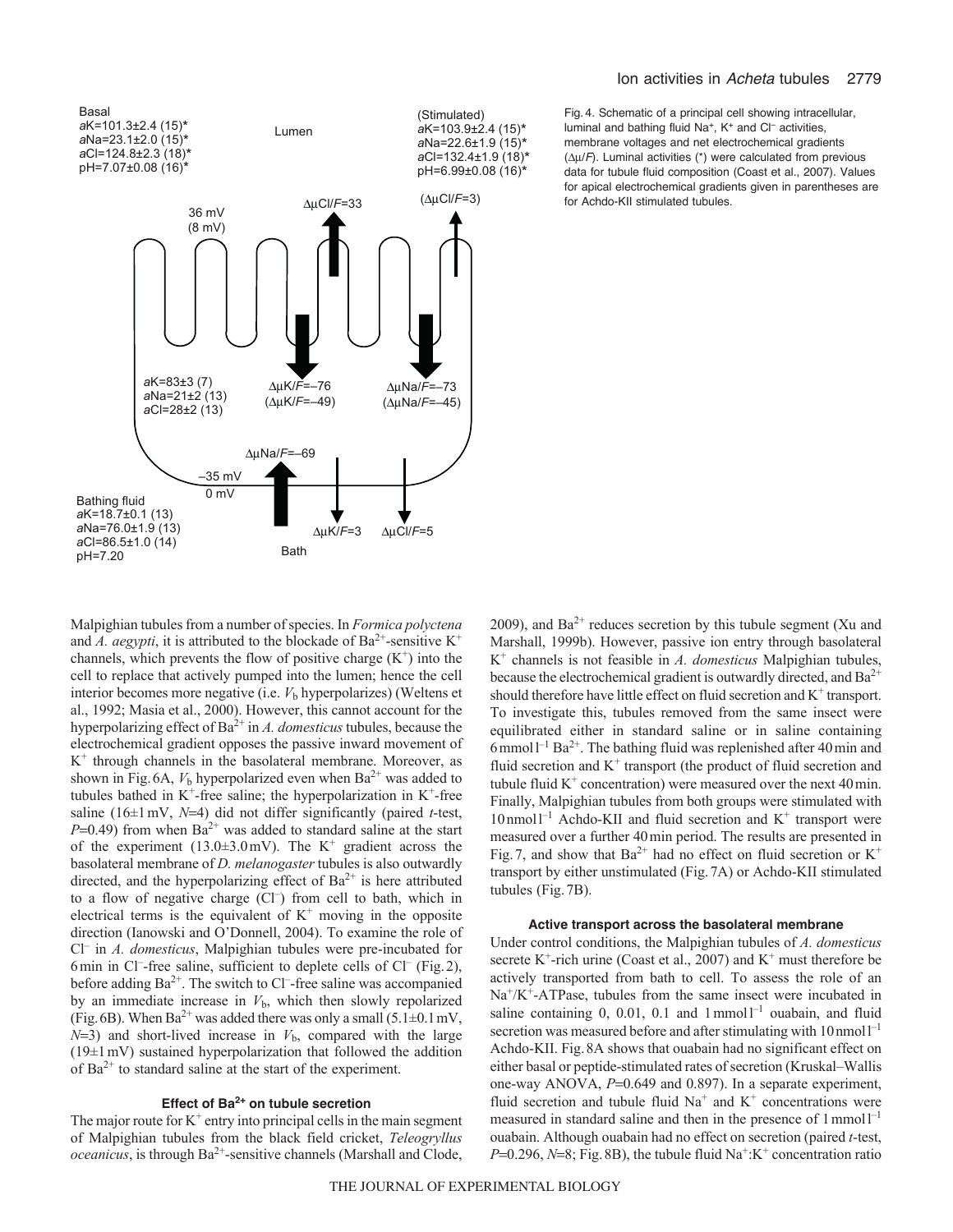

Fig. 4. Schematic of a principal cell showing intracellular, luminal and bathing fluid  $Na^+$ ,  $K^+$  and  $Cl^-$  activities, membrane voltages and net electrochemical gradients  $(\Delta \mu / F)$ . Luminal activities (\*) were calculated from previous data for tubule fluid composition (Coast et al., 2007). Values for apical electrochemical gradients given in parentheses are for Achdo-KII stimulated tubules.

Malpighian tubules from a number of species. In *Formica polyctena* and *A. aegypti*, it is attributed to the blockade of  $Ba^{2+}$ -sensitive K<sup>+</sup> channels, which prevents the flow of positive charge  $(K^+)$  into the cell to replace that actively pumped into the lumen; hence the cell interior becomes more negative (i.e.  $V<sub>b</sub>$  hyperpolarizes) (Weltens et al., 1992; Masia et al., 2000). However, this cannot account for the hyperpolarizing effect of Ba2+ in *A. domesticus* tubules, because the electrochemical gradient opposes the passive inward movement of K+ through channels in the basolateral membrane. Moreover, as shown in Fig.6A,  $V<sub>b</sub>$  hyperpolarized even when  $Ba<sup>2+</sup>$  was added to tubules bathed in  $K^+$ -free saline; the hyperpolarization in  $K^+$ -free saline (16 $\pm$ 1 mV, *N*=4) did not differ significantly (paired *t*-test,  $P=0.49$ ) from when Ba<sup>2+</sup> was added to standard saline at the start of the experiment (13.0 $\pm$ 3.0mV). The K<sup>+</sup> gradient across the basolateral membrane of *D. melanogaster* tubules is also outwardly directed, and the hyperpolarizing effect of  $Ba^{2+}$  is here attributed to a flow of negative charge (Cl<sup>-</sup>) from cell to bath, which in electrical terms is the equivalent of  $K^+$  moving in the opposite direction (Ianowski and O'Donnell, 2004). To examine the role of Cl– in *A. domesticus*, Malpighian tubules were pre-incubated for 6 min in Cl<sup>-</sup>-free saline, sufficient to deplete cells of Cl<sup>-</sup> (Fig.2), before adding  $Ba^{2+}$ . The switch to Cl<sup>-</sup>-free saline was accompanied by an immediate increase in  $V<sub>b</sub>$ , which then slowly repolarized (Fig. 6B). When  $Ba^{2+}$  was added there was only a small (5.1 $\pm$ 0.1mV,  $N=3$ ) and short-lived increase in  $V<sub>b</sub>$ , compared with the large (19±1mV) sustained hyperpolarization that followed the addition of  $Ba^{2+}$  to standard saline at the start of the experiment.

## **Effect of Ba2+ on tubule secretion**

The major route for  $K^+$  entry into principal cells in the main segment of Malpighian tubules from the black field cricket, *Teleogryllus oceanicus*, is through Ba<sup>2+</sup>-sensitive channels (Marshall and Clode, 2009), and  $Ba^{2+}$  reduces secretion by this tubule segment (Xu and Marshall, 1999b). However, passive ion entry through basolateral K+ channels is not feasible in *A. domesticus* Malpighian tubules, because the electrochemical gradient is outwardly directed, and  $Ba^{2+}$ should therefore have little effect on fluid secretion and  $K^+$  transport. To investigate this, tubules removed from the same insect were equilibrated either in standard saline or in saline containing 6 mmol  $1^{-1}$  Ba<sup>2+</sup>. The bathing fluid was replenished after 40 min and fluid secretion and  $K^+$  transport (the product of fluid secretion and tubule fluid  $K^+$  concentration) were measured over the next 40 min. Finally, Malpighian tubules from both groups were stimulated with 10 nmol<sup>1-1</sup> Achdo-KII and fluid secretion and K<sup>+</sup> transport were measured over a further 40min period. The results are presented in Fig. 7, and show that  $Ba^{2+}$  had no effect on fluid secretion or  $K^+$ transport by either unstimulated (Fig.7A) or Achdo-KII stimulated tubules (Fig.7B).

#### **Active transport across the basolateral membrane**

Under control conditions, the Malpighian tubules of *A. domesticus* secrete K<sup>+</sup>-rich urine (Coast et al., 2007) and  $K^+$  must therefore be actively transported from bath to cell. To assess the role of an  $Na<sup>+</sup>/K<sup>+</sup>-ATPase$ , tubules from the same insect were incubated in saline containing  $0$ ,  $0.01$ ,  $0.1$  and  $1$ mmol $1^{-1}$  ouabain, and fluid secretion was measured before and after stimulating with  $10 \text{ nmol} 1^{-1}$ Achdo-KII. Fig.8A shows that ouabain had no significant effect on either basal or peptide-stimulated rates of secretion (Kruskal–Wallis one-way ANOVA,  $P=0.649$  and 0.897). In a separate experiment, fluid secretion and tubule fluid  $Na<sup>+</sup>$  and  $K<sup>+</sup>$  concentrations were measured in standard saline and then in the presence of 1 mmol<sup>1-1</sup> ouabain. Although ouabain had no effect on secretion (paired *t*-test,  $P=0.296$ ,  $N=8$ ; Fig. 8B), the tubule fluid Na<sup>+</sup>:K<sup>+</sup> concentration ratio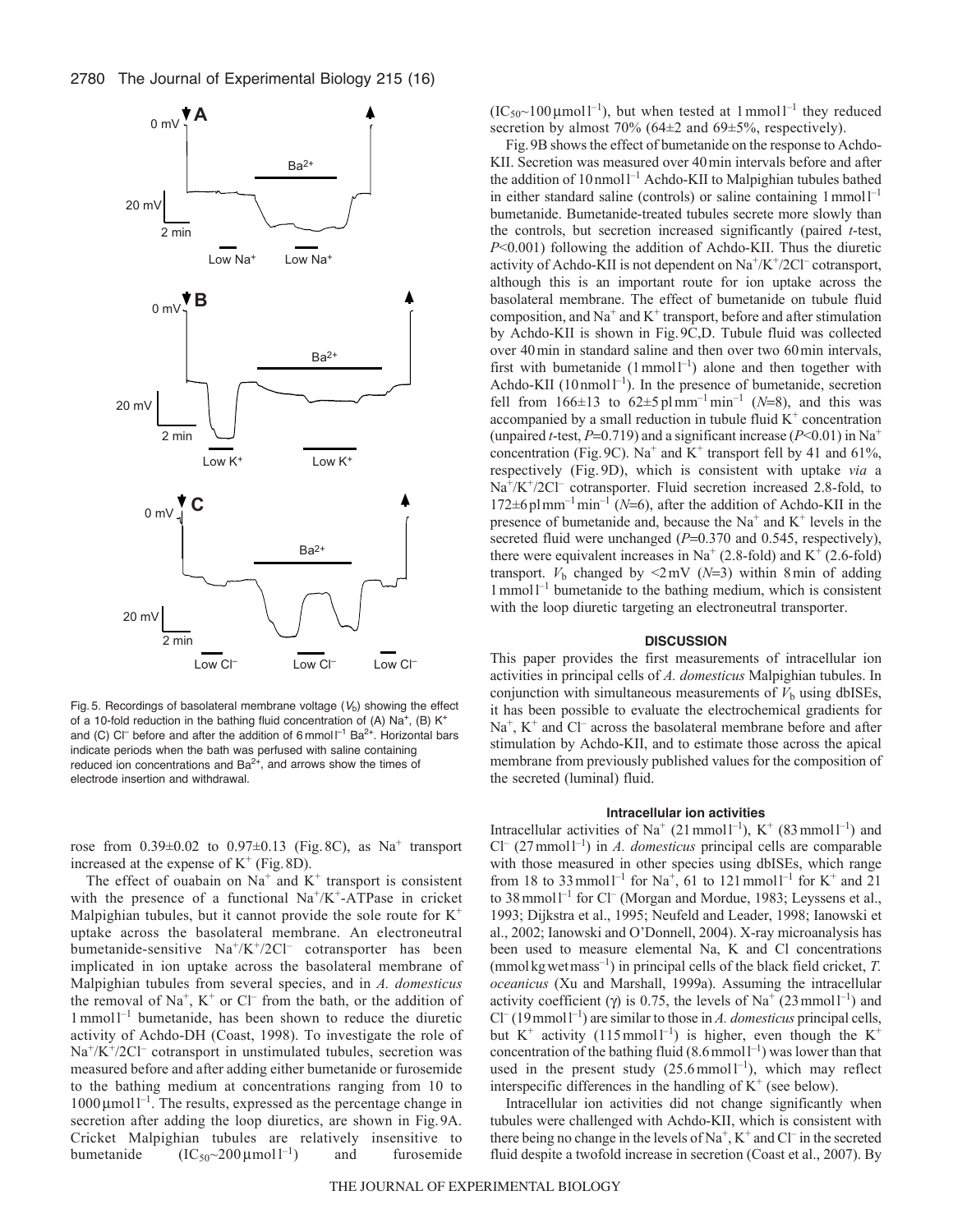2780 The Journal of Experimental Biology 215 (16)



Fig. 5. Recordings of basolateral membrane voltage  $(V<sub>b</sub>)$  showing the effect of a 10-fold reduction in the bathing fluid concentration of (A)  $Na<sup>+</sup>$ , (B)  $K<sup>+</sup>$ and (C) C $\Gamma$  before and after the addition of 6 mmol  $\Gamma$ <sup>1</sup> Ba<sup>2+</sup>. Horizontal bars indicate periods when the bath was perfused with saline containing reduced ion concentrations and  $Ba^{2+}$ , and arrows show the times of electrode insertion and withdrawal.

rose from  $0.39\pm0.02$  to  $0.97\pm0.13$  (Fig. 8C), as Na<sup>+</sup> transport increased at the expense of  $K^+$  (Fig. 8D).

The effect of ouabain on  $Na<sup>+</sup>$  and  $K<sup>+</sup>$  transport is consistent with the presence of a functional  $Na^+/K^+$ -ATPase in cricket Malpighian tubules, but it cannot provide the sole route for  $K^+$ uptake across the basolateral membrane. An electroneutral bumetanide-sensitive  $Na^+/K^+/2Cl^-$  cotransporter has been implicated in ion uptake across the basolateral membrane of Malpighian tubules from several species, and in *A. domesticus* the removal of Na<sup>+</sup>, K<sup>+</sup> or Cl<sup>-</sup> from the bath, or the addition of 1mmoll –1 bumetanide, has been shown to reduce the diuretic activity of Achdo-DH (Coast, 1998). To investigate the role of  $Na^{+}/K^{+}/2Cl^{-}$  cotransport in unstimulated tubules, secretion was measured before and after adding either bumetanide or furosemide to the bathing medium at concentrations ranging from 10 to  $1000 \mu$ moll<sup>-1</sup>. The results, expressed as the percentage change in secretion after adding the loop diuretics, are shown in Fig.9A. Cricket Malpighian tubules are relatively insensitive to bumetanide  $(IC_{50} \sim 200 \,\mu\text{mol} \,l^{-1})$ and furosemide

 $(IC_{50} \sim 100 \,\mu\text{mol}^{-1})$ , but when tested at 1 mmol<sup>-1</sup> they reduced secretion by almost  $70\%$  (64 $\pm$ 2 and 69 $\pm$ 5%, respectively).

Fig.9B shows the effect of bumetanide on the response to Achdo-KII. Secretion was measured over 40min intervals before and after the addition of  $10 \text{ nmol}^{-1}$  Achdo-KII to Malpighian tubules bathed in either standard saline (controls) or saline containing 1 mmol1<sup>-1</sup> bumetanide. Bumetanide-treated tubules secrete more slowly than the controls, but secretion increased significantly (paired *t*-test, *P*<0.001) following the addition of Achdo-KII. Thus the diuretic activity of Achdo-KII is not dependent on  $\text{Na}^{\text{+}}/\text{K}^{\text{+}}/\text{2Cl}^-$  cotransport, although this is an important route for ion uptake across the basolateral membrane. The effect of bumetanide on tubule fluid composition, and  $Na^+$  and  $K^+$  transport, before and after stimulation by Achdo-KII is shown in Fig.9C,D. Tubule fluid was collected over 40min in standard saline and then over two 60min intervals, first with bumetanide  $(1 \text{ mmol } 1^{-1})$  alone and then together with Achdo-KII (10 nmol<sup> $-1$ </sup>). In the presence of bumetanide, secretion fell from  $166 \pm 13$  to  $62 \pm 5$  plmm<sup>-1</sup> min<sup>-1</sup> (*N*=8), and this was accompanied by a small reduction in tubule fluid  $K^+$  concentration (unpaired *t*-test,  $P=0.719$ ) and a significant increase ( $P<0.01$ ) in Na<sup>+</sup> concentration (Fig. 9C). Na<sup>+</sup> and K<sup>+</sup> transport fell by 41 and 61%, respectively (Fig. 9D), which is consistent with uptake *via* a Na<sup>+</sup>/K<sup>+</sup>/2Cl<sup>–</sup> cotransporter. Fluid secretion increased 2.8-fold, to  $172\pm6$  plmm<sup>-1</sup> min<sup>-1</sup> (*N*=6), after the addition of Achdo-KII in the presence of bumetanide and, because the  $Na<sup>+</sup>$  and  $K<sup>+</sup>$  levels in the secreted fluid were unchanged ( $P=0.370$  and 0.545, respectively), there were equivalent increases in  $Na^+(2.8\text{-fold})$  and  $K^+(2.6\text{-fold})$ transport.  $V_b$  changed by  $\leq 2mV$  ( $N=3$ ) within 8 min of adding 1mmoll –1 bumetanide to the bathing medium, which is consistent with the loop diuretic targeting an electroneutral transporter.

#### **DISCUSSION**

This paper provides the first measurements of intracellular ion activities in principal cells of *A. domesticus* Malpighian tubules. In conjunction with simultaneous measurements of  $V<sub>b</sub>$  using dbISEs, it has been possible to evaluate the electrochemical gradients for  $Na<sup>+</sup>$ ,  $K<sup>+</sup>$  and Cl<sup>–</sup> across the basolateral membrane before and after stimulation by Achdo-KII, and to estimate those across the apical membrane from previously published values for the composition of the secreted (luminal) fluid.

## **Intracellular ion activities**

Intracellular activities of Na<sup>+</sup> (21 mmol  $l^{-1}$ ), K<sup>+</sup> (83 mmol  $l^{-1}$ ) and  $Cl^{-}$  (27 mmol<sup>-1</sup>) in *A. domesticus* principal cells are comparable with those measured in other species using dbISEs, which range from 18 to 33 mmol<sup> $1^{-1}$ </sup> for Na<sup>+</sup>, 61 to 121 mmol<sup>1-1</sup> for K<sup>+</sup> and 21 to 38 mmol<sup>1-1</sup> for C<sup> $-$ </sup> (Morgan and Mordue, 1983; Leyssens et al., 1993; Dijkstra et al., 1995; Neufeld and Leader, 1998; Ianowski et al., 2002; Ianowski and O'Donnell, 2004). X-ray microanalysis has been used to measure elemental Na, K and Cl concentrations (mmolkgwetmass–1) in principal cells of the black field cricket, *T. oceanicus* (Xu and Marshall, 1999a). Assuming the intracellular activity coefficient ( $\gamma$ ) is 0.75, the levels of Na<sup>+</sup> (23 mmoll<sup>-1</sup>) and  $Cl^{-}(19 \text{ mmol } l^{-1})$  are similar to those in *A. domesticus* principal cells, but  $K^+$  activity (115 mmoll<sup>-1</sup>) is higher, even though the  $K^+$ concentration of the bathing fluid  $(8.6 \text{ mmol}1^{-1})$  was lower than that used in the present study  $(25.6 \text{ mmol l}^{-1})$ , which may reflect interspecific differences in the handling of  $K^+$  (see below).

Intracellular ion activities did not change significantly when tubules were challenged with Achdo-KII, which is consistent with there being no change in the levels of  $Na^+$ ,  $K^+$  and  $Cl^-$  in the secreted fluid despite a twofold increase in secretion (Coast et al., 2007). By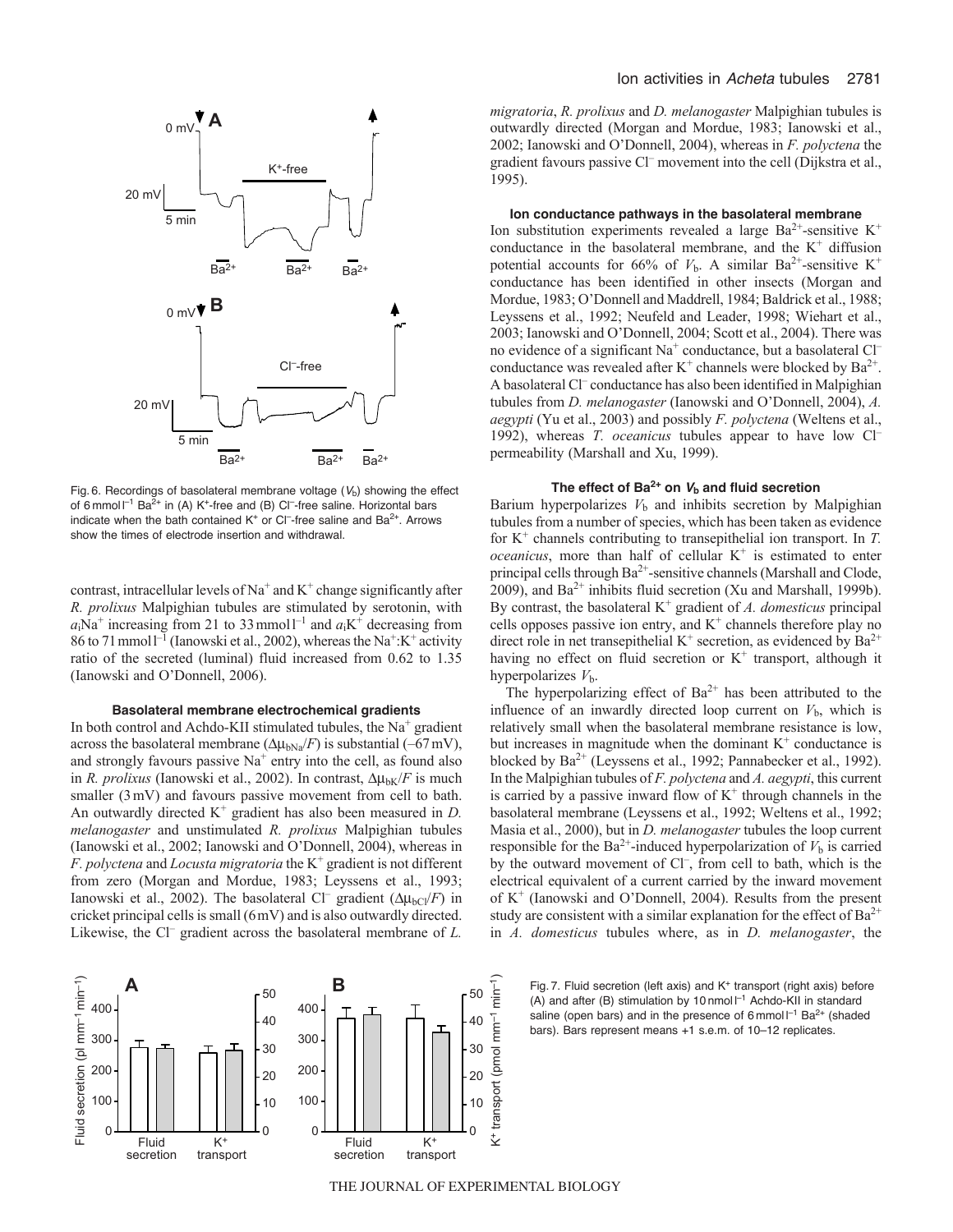

Fig. 6. Recordings of basolateral membrane voltage  $(V<sub>b</sub>)$  showing the effect of 6 mmol  $I^{-1}$  Ba<sup>2+</sup> in (A) K<sup>+</sup>-free and (B) Cl<sup>-</sup>-free saline. Horizontal bars indicate when the bath contained  $K^+$  or Cl<sup>-</sup>-free saline and Ba<sup>2+</sup>. Arrows show the times of electrode insertion and withdrawal.

contrast, intracellular levels of  $Na<sup>+</sup>$  and  $K<sup>+</sup>$  change significantly after *R. prolixus* Malpighian tubules are stimulated by serotonin, with  $a_i$ Na<sup>+</sup> increasing from 21 to 33 mmol<sup>1-1</sup> and  $a_i$ K<sup>+</sup> decreasing from 86 to 71 mmol<sup>-1</sup> (Ianowski et al., 2002), whereas the Na<sup>+</sup>:K<sup>+</sup> activity ratio of the secreted (luminal) fluid increased from 0.62 to 1.35 (Ianowski and O'Donnell, 2006).

#### **Basolateral membrane electrochemical gradients**

In both control and Achdo-KII stimulated tubules, the  $Na<sup>+</sup>$  gradient across the basolateral membrane ( $\Delta \mu_{bNa}/F$ ) is substantial (–67mV), and strongly favours passive  $Na<sup>+</sup>$  entry into the cell, as found also in *R. prolixus* (Ianowski et al., 2002). In contrast,  $\Delta \mu_{bK}/F$  is much smaller (3mV) and favours passive movement from cell to bath. An outwardly directed  $K^+$  gradient has also been measured in  $D$ . *melanogaster* and unstimulated *R. prolixus* Malpighian tubules (Ianowski et al., 2002; Ianowski and O'Donnell, 2004), whereas in *F. polyctena* and *Locusta migratoria* the K+ gradient is not different from zero (Morgan and Mordue, 1983; Leyssens et al., 1993; Ianowski et al., 2002). The basolateral Cl<sup>–</sup> gradient  $(\Delta \mu_{bCl}/F)$  in cricket principal cells is small (6mV) and is also outwardly directed. Likewise, the Cl<sup>–</sup> gradient across the basolateral membrane of *L*.



*migratoria*, *R. prolixus* and *D. melanogaster* Malpighian tubules is outwardly directed (Morgan and Mordue, 1983; Ianowski et al., 2002; Ianowski and O'Donnell, 2004), whereas in *F. polyctena* the gradient favours passive Cl– movement into the cell (Dijkstra et al., 1995).

## **Ion conductance pathways in the basolateral membrane**

Ion substitution experiments revealed a large  $Ba^{2+}$ -sensitive K<sup>+</sup> conductance in the basolateral membrane, and the  $K^+$  diffusion potential accounts for 66% of  $V<sub>b</sub>$ . A similar Ba<sup>2+</sup>-sensitive K<sup>+</sup> conductance has been identified in other insects (Morgan and Mordue, 1983; O'Donnell and Maddrell, 1984; Baldrick et al., 1988; Leyssens et al., 1992; Neufeld and Leader, 1998; Wiehart et al., 2003; Ianowski and O'Donnell, 2004; Scott et al., 2004). There was no evidence of a significant Na<sup>+</sup> conductance, but a basolateral Cl<sup>-</sup> conductance was revealed after  $K^+$  channels were blocked by  $Ba^{2+}$ . A basolateral Cl– conductance has also been identified in Malpighian tubules from *D. melanogaster* (Ianowski and O'Donnell, 2004), *A. aegypti* (Yu et al., 2003) and possibly *F. polyctena* (Weltens et al., 1992), whereas *T. oceanicus* tubules appear to have low Cl– permeability (Marshall and Xu, 1999).

## The effect of  $Ba^{2+}$  on  $V_b$  and fluid secretion

Barium hyperpolarizes  $V<sub>b</sub>$  and inhibits secretion by Malpighian tubules from a number of species, which has been taken as evidence for  $K^+$  channels contributing to transepithelial ion transport. In  $T$ .  $oceanicus$ , more than half of cellular  $K^+$  is estimated to enter principal cells through Ba<sup>2+</sup>-sensitive channels (Marshall and Clode, 2009), and  $Ba^{2+}$  inhibits fluid secretion (Xu and Marshall, 1999b). By contrast, the basolateral K+ gradient of *A. domesticus* principal cells opposes passive ion entry, and  $K^+$  channels therefore play no direct role in net transepithelial  $K^+$  secretion, as evidenced by  $Ba^{2+}$ having no effect on fluid secretion or  $K^+$  transport, although it hyperpolarizes *V*b.

The hyperpolarizing effect of  $Ba^{2+}$  has been attributed to the influence of an inwardly directed loop current on  $V<sub>b</sub>$ , which is relatively small when the basolateral membrane resistance is low, but increases in magnitude when the dominant  $K^+$  conductance is blocked by Ba<sup>2+</sup> (Leyssens et al., 1992; Pannabecker et al., 1992). In the Malpighian tubules of *F. polyctena* and *A. aegypti*, this current is carried by a passive inward flow of  $K^+$  through channels in the basolateral membrane (Leyssens et al., 1992; Weltens et al., 1992; Masia et al., 2000), but in *D. melanogaster* tubules the loop current responsible for the Ba<sup>2+</sup>-induced hyperpolarization of  $V<sub>b</sub>$  is carried by the outward movement of Cl<sup>-</sup>, from cell to bath, which is the electrical equivalent of a current carried by the inward movement of  $K^+$  (Ianowski and O'Donnell, 2004). Results from the present study are consistent with a similar explanation for the effect of  $Ba^{2+}$ in *A. domesticus* tubules where, as in *D. melanogaster*, the

**B** Fig. 7. Fluid secretion (left axis) and K<sup>+</sup> transport (right axis) before<br>  $\tau$   $\tau$   $\tau$   $\tau$ (A) and after (B) stimulation by 10 nmol  $I^{-1}$  Achdo-KII in standard saline (open bars) and in the presence of 6 mmol  $I^{-1}$  Ba<sup>2+</sup> (shaded bars). Bars represent means +1 s.e.m. of 10–12 replicates.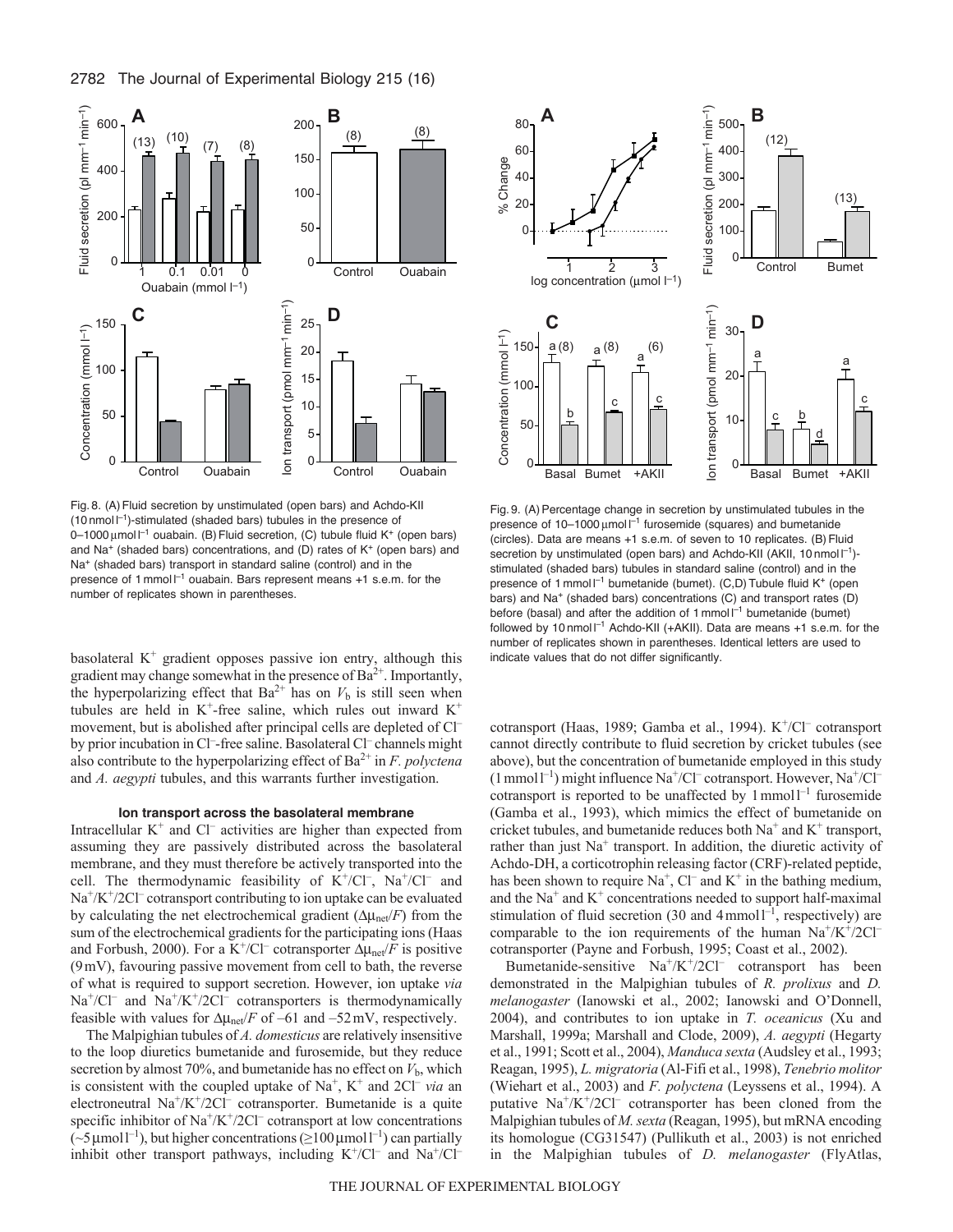

Fig. 8. (A)Fluid secretion by unstimulated (open bars) and Achdo-KII (10 nmol  $I^{-1}$ )-stimulated (shaded bars) tubules in the presence of 0-1000 μmol <sup>-1</sup> ouabain. (B) Fluid secretion, (C) tubule fluid K<sup>+</sup> (open bars) and Na<sup>+</sup> (shaded bars) concentrations, and (D) rates of  $K^+$  (open bars) and Na<sup>+</sup> (shaded bars) transport in standard saline (control) and in the presence of 1 mmoll<sup>-1</sup> ouabain. Bars represent means +1 s.e.m. for the number of replicates shown in parentheses.

basolateral  $K^+$  gradient opposes passive ion entry, although this gradient may change somewhat in the presence of  $Ba^{2+}$ . Importantly, the hyperpolarizing effect that  $Ba^{2+}$  has on  $V_b$  is still seen when tubules are held in  $K^+$ -free saline, which rules out inward  $K^+$ movement, but is abolished after principal cells are depleted of Cl– by prior incubation in Cl<sup>-</sup>-free saline. Basolateral Cl<sup>-</sup> channels might also contribute to the hyperpolarizing effect of Ba2+ in *F. polyctena* and *A. aegypti* tubules, and this warrants further investigation.

## **Ion transport across the basolateral membrane**

Intracellular  $K^+$  and  $Cl^-$  activities are higher than expected from assuming they are passively distributed across the basolateral membrane, and they must therefore be actively transported into the cell. The thermodynamic feasibility of  $K^+/Cl^-$ ,  $Na^+/Cl^-$  and  $Na<sup>+</sup>/K<sup>+</sup>/2Cl<sup>-</sup> cotransport contributing to ion uptake can be evaluated$ by calculating the net electrochemical gradient  $(\Delta \mu_{net}/F)$  from the sum of the electrochemical gradients for the participating ions (Haas and Forbush, 2000). For a K<sup>+</sup>/Cl<sup>–</sup> cotransporter  $\Delta \mu_{\text{net}}/F$  is positive (9mV), favouring passive movement from cell to bath, the reverse of what is required to support secretion. However, ion uptake *via*  $Na<sup>+</sup>/Cl<sup>-</sup>$  and  $Na<sup>+</sup>/K<sup>+</sup>/2Cl<sup>-</sup>$  cotransporters is thermodynamically feasible with values for  $\Delta\mu_{\text{net}}/F$  of –61 and –52 mV, respectively.

The Malpighian tubules of *A. domesticus* are relatively insensitive to the loop diuretics bumetanide and furosemide, but they reduce secretion by almost 70%, and bumetanide has no effect on  $V<sub>b</sub>$ , which is consistent with the coupled uptake of  $Na<sup>+</sup>$ ,  $K<sup>+</sup>$  and  $2Cl<sup>-</sup>$  *via* an electroneutral  $Na^+/K^+/2Cl^-$  cotransporter. Bumetanide is a quite specific inhibitor of  $\text{Na}^{\text{+}}/\text{K}^{\text{+}}/\text{2Cl}^-$  cotransport at low concentrations  $({\sim}5 \,\mu$ moll<sup>-1</sup>), but higher concentrations ( ${\ge}100 \,\mu$ moll<sup>-1</sup>) can partially inhibit other transport pathways, including  $K^+/CI^-$  and  $Na^+/CI^-$ 



Fig. 9. (A) Percentage change in secretion by unstimulated tubules in the presence of  $10-1000 \mu$ mol  $I^{-1}$  furosemide (squares) and bumetanide (circles). Data are means +1 s.e.m. of seven to 10 replicates. (B) Fluid secretion by unstimulated (open bars) and Achdo-KII (AKII, 10 nmol  $\vert^{-1}$ )stimulated (shaded bars) tubules in standard saline (control) and in the presence of 1 mmol  $l^{-1}$  bumetanide (bumet). (C,D) Tubule fluid K<sup>+</sup> (open bars) and Na<sup>+</sup> (shaded bars) concentrations (C) and transport rates (D) before (basal) and after the addition of 1 mmol  $I^{-1}$  bumetanide (bumet) followed by 10 nmol  $I^{-1}$  Achdo-KII (+AKII). Data are means +1 s.e.m. for the number of replicates shown in parentheses. Identical letters are used to indicate values that do not differ significantly.

cotransport (Haas, 1989; Gamba et al., 1994). K<sup>+</sup>/Cl<sup>–</sup> cotransport cannot directly contribute to fluid secretion by cricket tubules (see above), but the concentration of bumetanide employed in this study  $(1 \text{ mmol } l^{-1})$  might influence Na<sup>+</sup>/Cl<sup>–</sup> cotransport. However, Na<sup>+</sup>/Cl<sup>–</sup> cotransport is reported to be unaffected by  $1$  mmol $1^{-1}$  furosemide (Gamba et al., 1993), which mimics the effect of bumetanide on cricket tubules, and bumetanide reduces both  $Na^+$  and  $K^+$  transport, rather than just  $Na<sup>+</sup>$  transport. In addition, the diuretic activity of Achdo-DH, a corticotrophin releasing factor (CRF)-related peptide, has been shown to require  $Na^+$ ,  $Cl^-$  and  $K^+$  in the bathing medium, and the  $Na<sup>+</sup>$  and  $K<sup>+</sup>$  concentrations needed to support half-maximal stimulation of fluid secretion (30 and  $4$  mmoll<sup>-1</sup>, respectively) are comparable to the ion requirements of the human  $Na^+/K^+/2Cl^$ cotransporter (Payne and Forbush, 1995; Coast et al., 2002).

Bumetanide-sensitive Na+/K+/2Cl– cotransport has been demonstrated in the Malpighian tubules of *R. prolixus* and *D. melanogaster* (Ianowski et al., 2002; Ianowski and O'Donnell, 2004), and contributes to ion uptake in *T. oceanicus* (Xu and Marshall, 1999a; Marshall and Clode, 2009), *A. aegypti* (Hegarty et al., 1991; Scott et al., 2004), *Manduca sexta* (Audsley et al., 1993; Reagan, 1995), *L. migratoria* (Al-Fifi et al., 1998), *Tenebrio molitor* (Wiehart et al., 2003) and *F. polyctena* (Leyssens et al., 1994). A putative  $Na^{+}/K^{+}/2Cl^{-}$  cotransporter has been cloned from the Malpighian tubules of *M. sexta* (Reagan, 1995), but mRNA encoding its homologue (CG31547) (Pullikuth et al., 2003) is not enriched in the Malpighian tubules of *D. melanogaster* (FlyAtlas,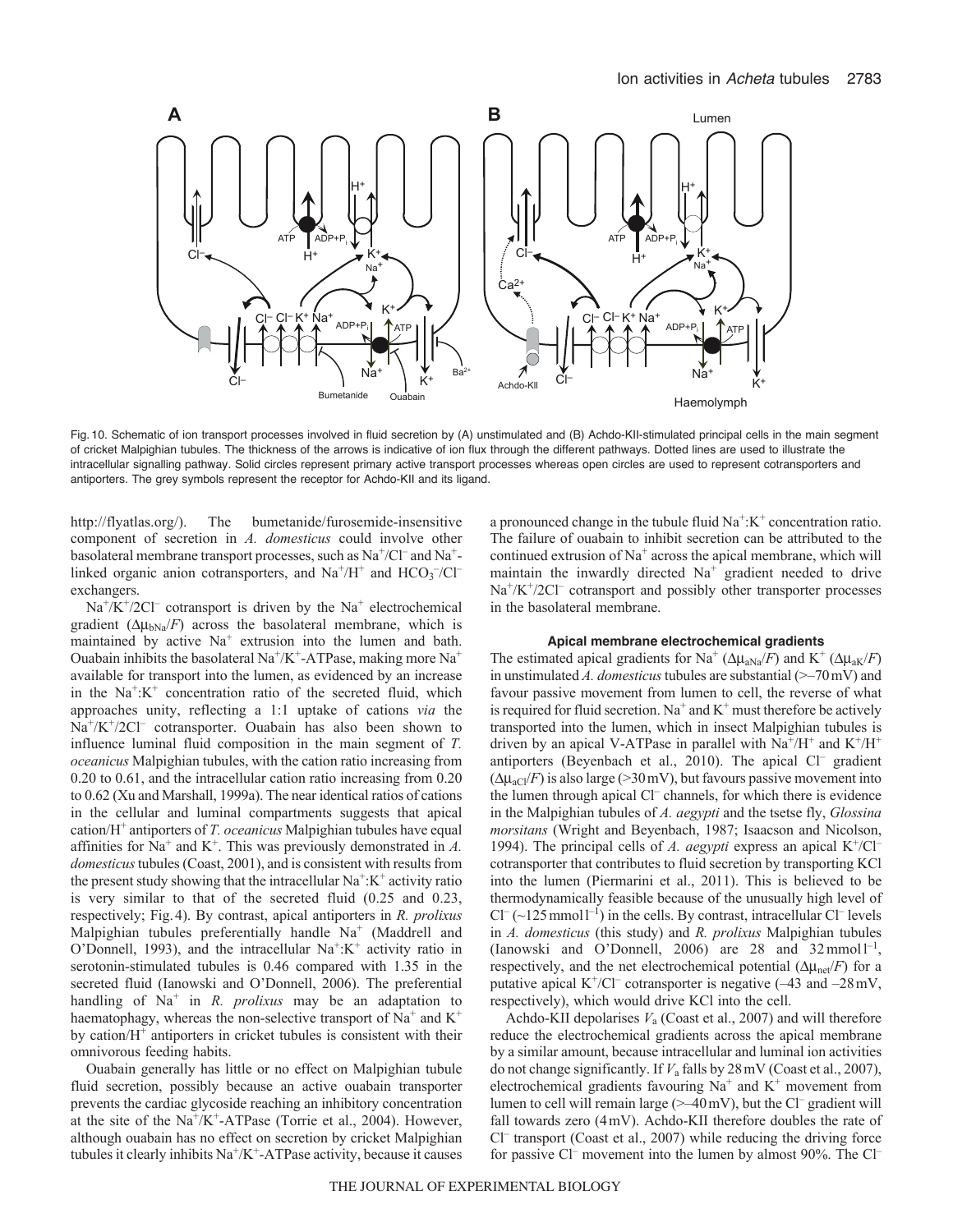

Fig. 10. Schematic of ion transport processes involved in fluid secretion by (A) unstimulated and (B) Achdo-KII-stimulated principal cells in the main segment of cricket Malpighian tubules. The thickness of the arrows is indicative of ion flux through the different pathways. Dotted lines are used to illustrate the intracellular signalling pathway. Solid circles represent primary active transport processes whereas open circles are used to represent cotransporters and antiporters. The grey symbols represent the receptor for Achdo-KII and its ligand.

http://flyatlas.org/). The bumetanide/furosemide-insensitive component of secretion in *A. domesticus* could involve other basolateral membrane transport processes, such as Na<sup>+</sup>/Cl<sup>–</sup> and Na<sup>+</sup>linked organic anion cotransporters, and  $Na^+/H^+$  and  $HCO_3^-/Cl^$ exchangers.

 $Na^{+}/K^{+}/2Cl^{-}$  cotransport is driven by the Na<sup>+</sup> electrochemical gradient  $(\Delta \mu_{bNa}/F)$  across the basolateral membrane, which is maintained by active  $Na<sup>+</sup>$  extrusion into the lumen and bath. Ouabain inhibits the basolateral Na<sup>+</sup>/K<sup>+</sup>-ATPase, making more Na<sup>+</sup> available for transport into the lumen, as evidenced by an increase in the  $Na^{+} : K^{+}$  concentration ratio of the secreted fluid, which approaches unity, reflecting a 1:1 uptake of cations *via* the  $Na^{+}/K^{+}/2Cl^{-}$  cotransporter. Ouabain has also been shown to influence luminal fluid composition in the main segment of *T. oceanicus* Malpighian tubules, with the cation ratio increasing from 0.20 to 0.61, and the intracellular cation ratio increasing from 0.20 to 0.62 (Xu and Marshall, 1999a). The near identical ratios of cations in the cellular and luminal compartments suggests that apical cation/H+ antiporters of *T. oceanicus* Malpighian tubules have equal affinities for  $Na^+$  and  $K^+$ . This was previously demonstrated in  $A$ . *domesticus*tubules (Coast, 2001), and is consistent with results from the present study showing that the intracellular  $Na^+$ : $K^+$  activity ratio is very similar to that of the secreted fluid (0.25 and 0.23, respectively; Fig.4). By contrast, apical antiporters in *R. prolixus* Malpighian tubules preferentially handle  $Na<sup>+</sup>$  (Maddrell and O'Donnell, 1993), and the intracellular  $Na^{+}:K^{+}$  activity ratio in serotonin-stimulated tubules is 0.46 compared with 1.35 in the secreted fluid (Ianowski and O'Donnell, 2006). The preferential handling of Na<sup>+</sup> in *R. prolixus* may be an adaptation to haematophagy, whereas the non-selective transport of  $Na<sup>+</sup>$  and  $K<sup>+</sup>$ by cation/ $H^+$  antiporters in cricket tubules is consistent with their omnivorous feeding habits.

Ouabain generally has little or no effect on Malpighian tubule fluid secretion, possibly because an active ouabain transporter prevents the cardiac glycoside reaching an inhibitory concentration at the site of the  $Na^+/K^+$ -ATPase (Torrie et al., 2004). However, although ouabain has no effect on secretion by cricket Malpighian tubules it clearly inhibits  $\text{Na}^+\text{/K}^+$ -ATPase activity, because it causes a pronounced change in the tubule fluid  $Na^+$ : $K^+$  concentration ratio. The failure of ouabain to inhibit secretion can be attributed to the continued extrusion of Na<sup>+</sup> across the apical membrane, which will maintain the inwardly directed  $Na<sup>+</sup>$  gradient needed to drive  $Na^{+}/K^{+}/2Cl^{-}$  cotransport and possibly other transporter processes in the basolateral membrane.

## **Apical membrane electrochemical gradients**

The estimated apical gradients for Na<sup>+</sup> ( $\Delta \mu_{aNa}/F$ ) and K<sup>+</sup> ( $\Delta \mu_{aK}/F$ ) in unstimulated *A. domesticus* tubules are substantial  $(\geq -70 \,\text{mV})$  and favour passive movement from lumen to cell, the reverse of what is required for fluid secretion. Na<sup>+</sup> and  $K^+$  must therefore be actively transported into the lumen, which in insect Malpighian tubules is driven by an apical V-ATPase in parallel with  $Na^+/H^+$  and  $K^+/H^+$ antiporters (Beyenbach et al., 2010). The apical Cl<sup>-</sup> gradient  $(\Delta \mu_{\rm aC}/F)$  is also large (>30 mV), but favours passive movement into the lumen through apical Cl<sup>-</sup> channels, for which there is evidence in the Malpighian tubules of *A. aegypti* and the tsetse fly, *Glossina morsitans* (Wright and Beyenbach, 1987; Isaacson and Nicolson, 1994). The principal cells of *A. aegypti* express an apical  $K^+/Cl^$ cotransporter that contributes to fluid secretion by transporting KCl into the lumen (Piermarini et al., 2011). This is believed to be thermodynamically feasible because of the unusually high level of  $Cl^{-}$  (~125 mmol  $l^{-1}$ ) in the cells. By contrast, intracellular  $Cl^{-}$  levels in *A. domesticus* (this study) and *R. prolixus* Malpighian tubules (Ianowski and O'Donnell, 2006) are 28 and  $32$  mmol  $1^{-1}$ , respectively, and the net electrochemical potential  $(\Delta \mu_{\text{net}}/F)$  for a putative apical  $K^+/Cl^-$  cotransporter is negative  $(-43 \text{ and } -28 \text{ mV})$ , respectively), which would drive KCl into the cell.

Achdo-KII depolarises *V*<sup>a</sup> (Coast et al., 2007) and will therefore reduce the electrochemical gradients across the apical membrane by a similar amount, because intracellular and luminal ion activities do not change significantly. If *V*<sup>a</sup> falls by 28mV (Coast et al., 2007), electrochemical gradients favouring  $Na<sup>+</sup>$  and  $K<sup>+</sup>$  movement from lumen to cell will remain large  $(\geq -40 \,\text{mV})$ , but the Cl<sup>-</sup> gradient will fall towards zero (4mV). Achdo-KII therefore doubles the rate of Cl– transport (Coast et al., 2007) while reducing the driving force for passive Cl<sup>–</sup> movement into the lumen by almost 90%. The Cl<sup>–</sup>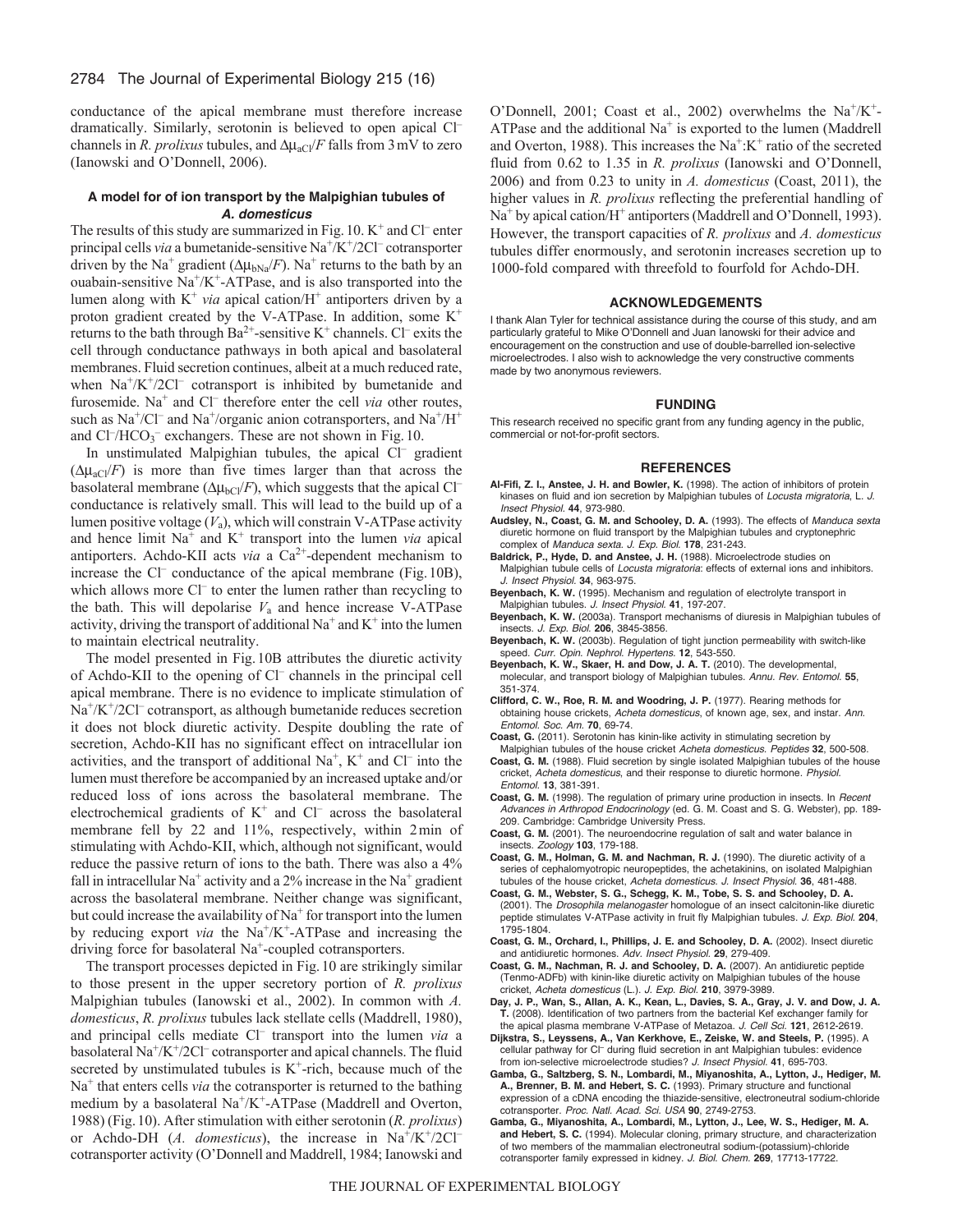conductance of the apical membrane must therefore increase dramatically. Similarly, serotonin is believed to open apical Cl– channels in *R. prolixus* tubules, and  $\Delta \mu_{aCl}/F$  falls from 3 mV to zero (Ianowski and O'Donnell, 2006).

## **A model for of ion transport by the Malpighian tubules of**  *A. domesticus*

The results of this study are summarized in Fig. 10.  $K^+$  and Cl<sup>–</sup> enter principal cells *via* a bumetanide-sensitive Na<sup>+</sup>/K<sup>+</sup>/2Cl<sup>-</sup> cotransporter driven by the Na<sup>+</sup> gradient ( $\Delta \mu_{bNa}/F$ ). Na<sup>+</sup> returns to the bath by an ouabain-sensitive  $\text{Na}^{\text{+}}/\text{K}^{\text{+}}$ -ATPase, and is also transported into the lumen along with  $K^+$  *via* apical cation/ $H^+$  antiporters driven by a proton gradient created by the V-ATPase. In addition, some  $K^+$ returns to the bath through  $Ba^{2+}$ -sensitive K<sup>+</sup> channels. Cl<sup>-</sup> exits the cell through conductance pathways in both apical and basolateral membranes. Fluid secretion continues, albeit at a much reduced rate, when  $Na^+/K^+/2Cl^-$  cotransport is inhibited by bumetanide and furosemide. Na<sup>+</sup> and Cl<sup>-</sup> therefore enter the cell *via* other routes, such as  $Na^+/Cl^-$  and  $Na^+/organic$  anion cotransporters, and  $Na^+/H^+$ and Cl<sup>-</sup>/HCO<sub>3</sub><sup>-</sup> exchangers. These are not shown in Fig. 10.

In unstimulated Malpighian tubules, the apical Cl<sup>-</sup> gradient  $(\Delta \mu_{\rm aCl}/F)$  is more than five times larger than that across the basolateral membrane ( $\Delta \mu_{bCl}/F$ ), which suggests that the apical Cl<sup>-</sup> conductance is relatively small. This will lead to the build up of a lumen positive voltage  $(V_a)$ , which will constrain V-ATPase activity and hence limit  $Na<sup>+</sup>$  and  $K<sup>+</sup>$  transport into the lumen *via* apical antiporters. Achdo-KII acts *via* a Ca<sup>2+</sup>-dependent mechanism to increase the Cl<sup>–</sup> conductance of the apical membrane (Fig. 10B), which allows more Cl<sup>–</sup> to enter the lumen rather than recycling to the bath. This will depolarise  $V_a$  and hence increase V-ATPase activity, driving the transport of additional  $Na^+$  and  $K^+$  into the lumen to maintain electrical neutrality.

The model presented in Fig.10B attributes the diuretic activity of Achdo-KII to the opening of Cl– channels in the principal cell apical membrane. There is no evidence to implicate stimulation of  $Na<sup>+/</sup>K<sup>+/</sup>2Cl<sup>-</sup> cotransport, as although bumetanide reduces secretion$ it does not block diuretic activity. Despite doubling the rate of secretion, Achdo-KII has no significant effect on intracellular ion activities, and the transport of additional  $Na^+$ ,  $K^+$  and  $Cl^-$  into the lumen must therefore be accompanied by an increased uptake and/or reduced loss of ions across the basolateral membrane. The electrochemical gradients of  $K^+$  and  $Cl^-$  across the basolateral membrane fell by 22 and 11%, respectively, within 2min of stimulating with Achdo-KII, which, although not significant, would reduce the passive return of ions to the bath. There was also a 4% fall in intracellular Na<sup>+</sup> activity and a 2% increase in the Na<sup>+</sup> gradient across the basolateral membrane. Neither change was significant, but could increase the availability of  $Na<sup>+</sup>$  for transport into the lumen by reducing export *via* the Na<sup>+</sup>/K<sup>+</sup>-ATPase and increasing the driving force for basolateral Na<sup>+</sup>-coupled cotransporters.

The transport processes depicted in Fig.10 are strikingly similar to those present in the upper secretory portion of *R. prolixus* Malpighian tubules (Ianowski et al., 2002). In common with *A. domesticus*, *R. prolixus* tubules lack stellate cells (Maddrell, 1980), and principal cells mediate Cl– transport into the lumen *via* a basolateral  $\text{Na}^+\text{/} \text{K}^+\text{/} 2\text{Cl}^-$  cotransporter and apical channels. The fluid secreted by unstimulated tubules is  $K^+$ -rich, because much of the Na<sup>+</sup> that enters cells *via* the cotransporter is returned to the bathing medium by a basolateral  $Na^+/K^+$ -ATPase (Maddrell and Overton, 1988) (Fig.10). After stimulation with either serotonin (*R. prolixus*) or Achdo-DH  $(A.$  *domesticus*), the increase in Na<sup>+</sup>/K<sup>+</sup>/2Cl<sup>-</sup> cotransporter activity (O'Donnell and Maddrell, 1984; Ianowski and O'Donnell, 2001; Coast et al., 2002) overwhelms the  $Na^{+}/K^{+}$ -ATPase and the additional  $Na<sup>+</sup>$  is exported to the lumen (Maddrell and Overton, 1988). This increases the  $Na^+K^+$  ratio of the secreted fluid from 0.62 to 1.35 in *R. prolixus* (Ianowski and O'Donnell, 2006) and from 0.23 to unity in *A. domesticus* (Coast, 2011), the higher values in *R. prolixus* reflecting the preferential handling of Na<sup>+</sup> by apical cation/H<sup>+</sup> antiporters (Maddrell and O'Donnell, 1993). However, the transport capacities of *R. prolixus* and *A. domesticus* tubules differ enormously, and serotonin increases secretion up to 1000-fold compared with threefold to fourfold for Achdo-DH.

## **ACKNOWLEDGEMENTS**

I thank Alan Tyler for technical assistance during the course of this study, and am particularly grateful to Mike O'Donnell and Juan Ianowski for their advice and encouragement on the construction and use of double-barrelled ion-selective microelectrodes. I also wish to acknowledge the very constructive comments made by two anonymous reviewers.

#### **FUNDING**

This research received no specific grant from any funding agency in the public, commercial or not-for-profit sectors.

#### **REFERENCES**

- **Al-Fifi, Z. I., Anstee, J. H. and Bowler, K.** (1998). The action of inhibitors of protein kinases on fluid and ion secretion by Malpighian tubules of *Locusta migratoria*, L. *J. Insect Physiol.* **44**, 973-980.
- **Audsley, N., Coast, G. M. and Schooley, D. A.** (1993). The effects of *Manduca sexta* diuretic hormone on fluid transport by the Malpighian tubules and cryptonephric complex of *Manduca sexta. J. Exp. Biol.* **178**, 231-243.
- **Baldrick, P., Hyde, D. and Anstee, J. H.** (1988). Microelectrode studies on Malpighian tubule cells of *Locusta migratoria*: effects of external ions and inhibitors. *J. Insect Physiol.* **34**, 963-975.
- **Beyenbach, K. W.** (1995). Mechanism and regulation of electrolyte transport in Malpighian tubules. *J. Insect Physiol.* **41**, 197-207.
- **Beyenbach, K. W.** (2003a). Transport mechanisms of diuresis in Malpighian tubules of insects. *J. Exp. Biol.* **206**, 3845-3856.
- **Beyenbach, K. W.** (2003b). Regulation of tight junction permeability with switch-like speed. *Curr. Opin. Nephrol. Hypertens.* **12**, 543-550.
- **Beyenbach, K. W., Skaer, H. and Dow, J. A. T.** (2010). The developmental, molecular, and transport biology of Malpighian tubules. *Annu. Rev. Entomol.* **55**, 351-374.
- **Clifford, C. W., Roe, R. M. and Woodring, J. P.** (1977). Rearing methods for obtaining house crickets, *Acheta domesticus*, of known age, sex, and instar. *Ann. Entomol. Soc. Am.* **70**, 69-74.
- **Coast, G.** (2011). Serotonin has kinin-like activity in stimulating secretion by
- Malpighian tubules of the house cricket *Acheta domesticus. Peptides* **32**, 500-508. **Coast, G. M.** (1988). Fluid secretion by single isolated Malpighian tubules of the house cricket, *Acheta domesticus*, and their response to diuretic hormone. *Physiol. Entomol.* **13**, 381-391.
- **Coast, G. M.** (1998). The regulation of primary urine production in insects. In *Recent Advances in Arthropod Endocrinology* (ed. G. M. Coast and S. G. Webster), pp. 189- 209. Cambridge: Cambridge University Press.
- **Coast, G. M.** (2001). The neuroendocrine regulation of salt and water balance in insects. *Zoology* **103**, 179-188.
- **Coast, G. M., Holman, G. M. and Nachman, R. J.** (1990). The diuretic activity of a series of cephalomyotropic neuropeptides, the achetakinins, on isolated Malpighian tubules of the house cricket, *Acheta domesticus. J. Insect Physiol.* **36**, 481-488.
- **Coast, G. M., Webster, S. G., Schegg, K. M., Tobe, S. S. and Schooley, D. A.** (2001). The *Drosophila melanogaster* homologue of an insect calcitonin-like diuretic peptide stimulates V-ATPase activity in fruit fly Malpighian tubules. *J. Exp. Biol.* **204**, 1795-1804.
- **Coast, G. M., Orchard, I., Phillips, J. E. and Schooley, D. A.** (2002). Insect diuretic and antidiuretic hormones. *Adv. Insect Physiol.* **29**, 279-409.
- **Coast, G. M., Nachman, R. J. and Schooley, D. A.** (2007). An antidiuretic peptide (Tenmo-ADFb) with kinin-like diuretic activity on Malpighian tubules of the house cricket, *Acheta domesticus* (L.). *J. Exp. Biol.* **210**, 3979-3989.
- **Day, J. P., Wan, S., Allan, A. K., Kean, L., Davies, S. A., Gray, J. V. and Dow, J. A. T.** (2008). Identification of two partners from the bacterial Kef exchanger family for the apical plasma membrane V-ATPase of Metazoa. *J. Cell Sci.* **121**, 2612-2619.
- **Dijkstra, S., Leyssens, A., Van Kerkhove, E., Zeiske, W. and Steels, P.** (1995). A cellular pathway for Cl– during fluid secretion in ant Malpighian tubules: evidence from ion-selective microelectrode studies? *J. Insect Physiol.* **41**, 695-703.
- **Gamba, G., Saltzberg, S. N., Lombardi, M., Miyanoshita, A., Lytton, J., Hediger, M. A., Brenner, B. M. and Hebert, S. C.** (1993). Primary structure and functional expression of a cDNA encoding the thiazide-sensitive, electroneutral sodium-chloride cotransporter. *Proc. Natl. Acad. Sci. USA* **90**, 2749-2753.
- **Gamba, G., Miyanoshita, A., Lombardi, M., Lytton, J., Lee, W. S., Hediger, M. A. and Hebert, S. C.** (1994). Molecular cloning, primary structure, and characterization of two members of the mammalian electroneutral sodium-(potassium)-chloride cotransporter family expressed in kidney. *J. Biol. Chem.* **269**, 17713-17722.